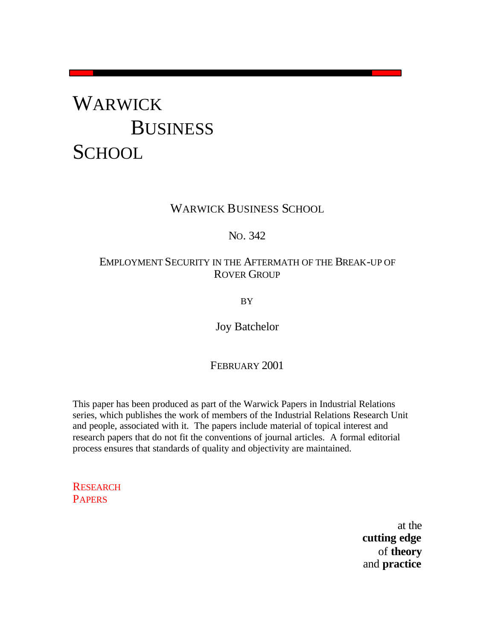# WARWICK **BUSINESS SCHOOL**

## WARWICK BUSINESS SCHOOL

## NO. 342

## EMPLOYMENT SECURITY IN THE AFTERMATH OF THE BREAK-UP OF ROVER GROUP

BY

Joy Batchelor

## FEBRUARY 2001

This paper has been produced as part of the Warwick Papers in Industrial Relations series, which publishes the work of members of the Industrial Relations Research Unit and people, associated with it. The papers include material of topical interest and research papers that do not fit the conventions of journal articles. A formal editorial process ensures that standards of quality and objectivity are maintained.

**RESEARCH PAPERS** 

> at the **cutting edge** of **theory** and **practice**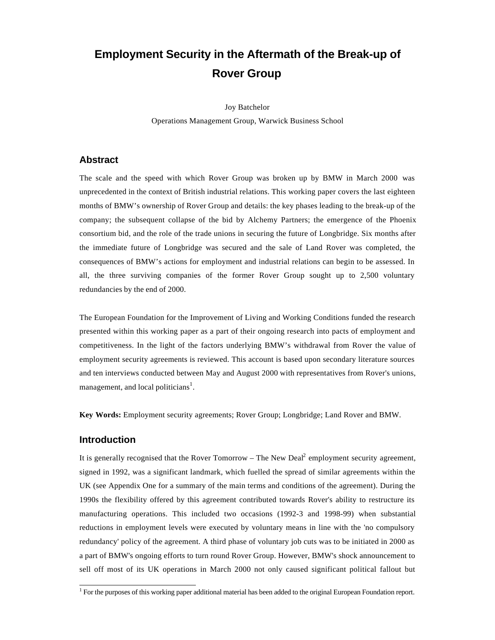## **Employment Security in the Aftermath of the Break-up of Rover Group**

Joy Batchelor Operations Management Group, Warwick Business School

#### **Abstract**

The scale and the speed with which Rover Group was broken up by BMW in March 2000 was unprecedented in the context of British industrial relations. This working paper covers the last eighteen months of BMW's ownership of Rover Group and details: the key phases leading to the break-up of the company; the subsequent collapse of the bid by Alchemy Partners; the emergence of the Phoenix consortium bid, and the role of the trade unions in securing the future of Longbridge. Six months after the immediate future of Longbridge was secured and the sale of Land Rover was completed, the consequences of BMW's actions for employment and industrial relations can begin to be assessed. In all, the three surviving companies of the former Rover Group sought up to 2,500 voluntary redundancies by the end of 2000.

The European Foundation for the Improvement of Living and Working Conditions funded the research presented within this working paper as a part of their ongoing research into pacts of employment and competitiveness. In the light of the factors underlying BMW's withdrawal from Rover the value of employment security agreements is reviewed. This account is based upon secondary literature sources and ten interviews conducted between May and August 2000 with representatives from Rover's unions, management, and local politicians<sup>1</sup>.

**Key Words:** Employment security agreements; Rover Group; Longbridge; Land Rover and BMW.

#### **Introduction**

It is generally recognised that the Rover Tomorrow – The New Deal<sup>2</sup> employment security agreement, signed in 1992, was a significant landmark, which fuelled the spread of similar agreements within the UK (see Appendix One for a summary of the main terms and conditions of the agreement). During the 1990s the flexibility offered by this agreement contributed towards Rover's ability to restructure its manufacturing operations. This included two occasions (1992-3 and 1998-99) when substantial reductions in employment levels were executed by voluntary means in line with the 'no compulsory redundancy' policy of the agreement. A third phase of voluntary job cuts was to be initiated in 2000 as a part of BMW's ongoing efforts to turn round Rover Group. However, BMW's shock announcement to sell off most of its UK operations in March 2000 not only caused significant political fallout but

 1 For the purposes of this working paper additional material has been added to the original European Foundation report.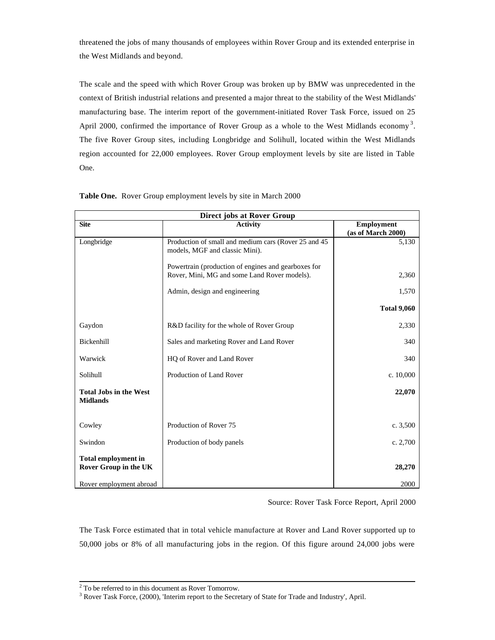threatened the jobs of many thousands of employees within Rover Group and its extended enterprise in the West Midlands and beyond.

The scale and the speed with which Rover Group was broken up by BMW was unprecedented in the context of British industrial relations and presented a major threat to the stability of the West Midlands' manufacturing base. The interim report of the government-initiated Rover Task Force, issued on 25 April 2000, confirmed the importance of Rover Group as a whole to the West Midlands economy<sup>3</sup>. The five Rover Group sites, including Longbridge and Solihull, located within the West Midlands region accounted for 22,000 employees. Rover Group employment levels by site are listed in Table One.

| <b>Direct jobs at Rover Group</b>                          |                                                                                                     |                                         |  |  |  |
|------------------------------------------------------------|-----------------------------------------------------------------------------------------------------|-----------------------------------------|--|--|--|
| <b>Site</b>                                                | <b>Activity</b>                                                                                     | <b>Employment</b><br>(as of March 2000) |  |  |  |
| Longbridge                                                 | Production of small and medium cars (Rover 25 and 45<br>models, MGF and classic Mini).              | 5,130                                   |  |  |  |
|                                                            | Powertrain (production of engines and gearboxes for<br>Rover, Mini, MG and some Land Rover models). | 2,360                                   |  |  |  |
|                                                            | Admin, design and engineering                                                                       | 1,570                                   |  |  |  |
|                                                            |                                                                                                     | <b>Total 9,060</b>                      |  |  |  |
| Gaydon                                                     | R&D facility for the whole of Rover Group                                                           | 2,330                                   |  |  |  |
| Bickenhill                                                 | Sales and marketing Rover and Land Rover                                                            | 340                                     |  |  |  |
| Warwick                                                    | HQ of Rover and Land Rover                                                                          | 340                                     |  |  |  |
| Solihull                                                   | Production of Land Rover                                                                            | c. $10,000$                             |  |  |  |
| <b>Total Jobs in the West</b><br><b>Midlands</b>           |                                                                                                     | 22,070                                  |  |  |  |
| Cowley                                                     | Production of Rover 75                                                                              | c. $3,500$                              |  |  |  |
| Swindon                                                    | Production of body panels                                                                           | c. $2,700$                              |  |  |  |
| <b>Total employment in</b><br><b>Rover Group in the UK</b> |                                                                                                     | 28,270                                  |  |  |  |
| Rover employment abroad                                    |                                                                                                     | 2000                                    |  |  |  |

**Table One.** Rover Group employment levels by site in March 2000

Source: Rover Task Force Report, April 2000

The Task Force estimated that in total vehicle manufacture at Rover and Land Rover supported up to 50,000 jobs or 8% of all manufacturing jobs in the region. Of this figure around 24,000 jobs were

 $2^2$  To be referred to in this document as Rover Tomorrow.

<sup>&</sup>lt;sup>3</sup> Rover Task Force, (2000), 'Interim report to the Secretary of State for Trade and Industry', April.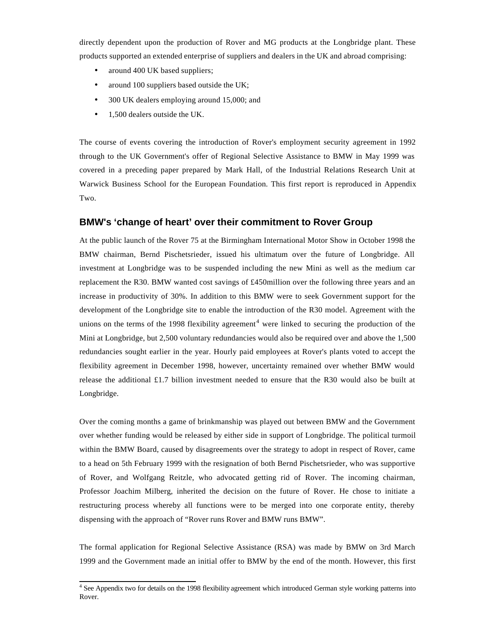directly dependent upon the production of Rover and MG products at the Longbridge plant. These products supported an extended enterprise of suppliers and dealers in the UK and abroad comprising:

- around 400 UK based suppliers;
- around 100 suppliers based outside the UK;
- 300 UK dealers employing around 15,000; and
- 1,500 dealers outside the UK.

The course of events covering the introduction of Rover's employment security agreement in 1992 through to the UK Government's offer of Regional Selective Assistance to BMW in May 1999 was covered in a preceding paper prepared by Mark Hall, of the Industrial Relations Research Unit at Warwick Business School for the European Foundation. This first report is reproduced in Appendix Two.

#### **BMW's 'change of heart' over their commitment to Rover Group**

At the public launch of the Rover 75 at the Birmingham International Motor Show in October 1998 the BMW chairman, Bernd Pischetsrieder, issued his ultimatum over the future of Longbridge. All investment at Longbridge was to be suspended including the new Mini as well as the medium car replacement the R30. BMW wanted cost savings of £450million over the following three years and an increase in productivity of 30%. In addition to this BMW were to seek Government support for the development of the Longbridge site to enable the introduction of the R30 model. Agreement with the unions on the terms of the 1998 flexibility agreement<sup>4</sup> were linked to securing the production of the Mini at Longbridge, but 2,500 voluntary redundancies would also be required over and above the 1,500 redundancies sought earlier in the year. Hourly paid employees at Rover's plants voted to accept the flexibility agreement in December 1998, however, uncertainty remained over whether BMW would release the additional £1.7 billion investment needed to ensure that the R30 would also be built at Longbridge.

Over the coming months a game of brinkmanship was played out between BMW and the Government over whether funding would be released by either side in support of Longbridge. The political turmoil within the BMW Board, caused by disagreements over the strategy to adopt in respect of Rover, came to a head on 5th February 1999 with the resignation of both Bernd Pischetsrieder, who was supportive of Rover, and Wolfgang Reitzle, who advocated getting rid of Rover. The incoming chairman, Professor Joachim Milberg, inherited the decision on the future of Rover. He chose to initiate a restructuring process whereby all functions were to be merged into one corporate entity, thereby dispensing with the approach of "Rover runs Rover and BMW runs BMW".

The formal application for Regional Selective Assistance (RSA) was made by BMW on 3rd March 1999 and the Government made an initial offer to BMW by the end of the month. However, this first

 4 See Appendix two for details on the 1998 flexibility agreement which introduced German style working patterns into Rover.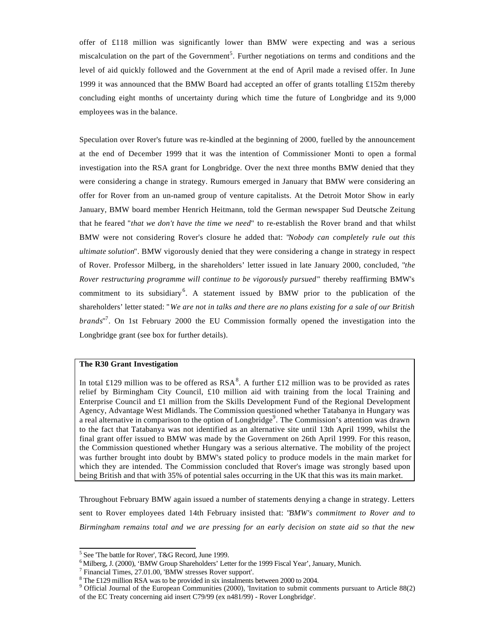offer of £118 million was significantly lower than BMW were expecting and was a serious miscalculation on the part of the Government<sup>5</sup>. Further negotiations on terms and conditions and the level of aid quickly followed and the Government at the end of April made a revised offer. In June 1999 it was announced that the BMW Board had accepted an offer of grants totalling £152m thereby concluding eight months of uncertainty during which time the future of Longbridge and its 9,000 employees was in the balance.

Speculation over Rover's future was re-kindled at the beginning of 2000, fuelled by the announcement at the end of December 1999 that it was the intention of Commissioner Monti to open a formal investigation into the RSA grant for Longbridge. Over the next three months BMW denied that they were considering a change in strategy. Rumours emerged in January that BMW were considering an offer for Rover from an un-named group of venture capitalists. At the Detroit Motor Show in early January, BMW board member Henrich Heitmann, told the German newspaper Sud Deutsche Zeitung that he feared "*that we don't have the time we need*" to re-establish the Rover brand and that whilst BMW were not considering Rover's closure he added that: "*Nobody can completely rule out this ultimate solution*". BMW vigorously denied that they were considering a change in strategy in respect of Rover. Professor Milberg, in the shareholders' letter issued in late January 2000, concluded, "*the Rover restructuring programme will continue to be vigorously pursued*" thereby reaffirming BMW's commitment to its subsidiary<sup>6</sup>. A statement issued by BMW prior to the publication of the shareholders' letter stated: "*We are not in talks and there are no plans existing for a sale of our British brands*" 7 . On 1st February 2000 the EU Commission formally opened the investigation into the Longbridge grant (see box for further details).

#### **The R30 Grant Investigation**

In total £129 million was to be offered as  $RSA^8$ . A further £12 million was to be provided as rates relief by Birmingham City Council, £10 million aid with training from the local Training and Enterprise Council and £1 million from the Skills Development Fund of the Regional Development Agency, Advantage West Midlands. The Commission questioned whether Tatabanya in Hungary was a real alternative in comparison to the option of Longbridge<sup>9</sup>. The Commission's attention was drawn to the fact that Tatabanya was not identified as an alternative site until 13th April 1999, whilst the final grant offer issued to BMW was made by the Government on 26th April 1999. For this reason, the Commission questioned whether Hungary was a serious alternative. The mobility of the project was further brought into doubt by BMW's stated policy to produce models in the main market for which they are intended. The Commission concluded that Rover's image was strongly based upon being British and that with 35% of potential sales occurring in the UK that this was its main market.

Throughout February BMW again issued a number of statements denying a change in strategy. Letters sent to Rover employees dated 14th February insisted that: "*BMW's commitment to Rover and to Birmingham remains total and we are pressing for an early decision on state aid so that the new*

 5 See 'The battle for Rover', T&G Record, June 1999.

<sup>6</sup> Milberg, J. (2000), 'BMW Group Shareholders' Letter for the 1999 Fiscal Year', January, Munich.

<sup>&</sup>lt;sup>7</sup> Financial Times, 27.01.00, 'BMW stresses Rover support'.

 $8$  The £129 million RSA was to be provided in six instalments between 2000 to 2004.

<sup>9</sup> Official Journal of the European Communities (2000), 'Invitation to submit comments pursuant to Article 88(2) of the EC Treaty concerning aid insert C79/99 (ex n481/99) - Rover Longbridge'.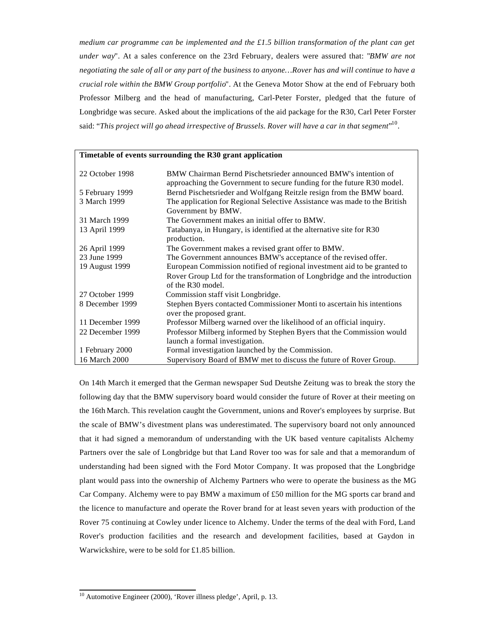*medium car programme can be implemented and the £1.5 billion transformation of the plant can get under way*". At a sales conference on the 23rd February, dealers were assured that: "*BMW are not negotiating the sale of all or any part of the business to anyone…Rover has and will continue to have a crucial role within the BMW Group portfolio*". At the Geneva Motor Show at the end of February both Professor Milberg and the head of manufacturing, Carl-Peter Forster, pledged that the future of Longbridge was secure. Asked about the implications of the aid package for the R30, Carl Peter Forster said: "This project will go ahead irrespective of Brussels. Rover will have a car in that segment"<sup>10</sup>.

#### **Timetable of events surrounding the R30 grant application**

| 22 October 1998  | BMW Chairman Bernd Pischetsrieder announced BMW's intention of<br>approaching the Government to secure funding for the future R30 model. |
|------------------|------------------------------------------------------------------------------------------------------------------------------------------|
| 5 February 1999  | Bernd Pischetsrieder and Wolfgang Reitzle resign from the BMW board.                                                                     |
| 3 March 1999     | The application for Regional Selective Assistance was made to the British<br>Government by BMW.                                          |
| 31 March 1999    | The Government makes an initial offer to BMW.                                                                                            |
| 13 April 1999    | Tatabanya, in Hungary, is identified at the alternative site for R30<br>production.                                                      |
| 26 April 1999    | The Government makes a revised grant offer to BMW.                                                                                       |
| 23 June 1999     | The Government announces BMW's acceptance of the revised offer.                                                                          |
| 19 August 1999   | European Commission notified of regional investment aid to be granted to                                                                 |
|                  | Rover Group Ltd for the transformation of Longbridge and the introduction<br>of the $R30$ model.                                         |
| 27 October 1999  | Commission staff visit Longbridge.                                                                                                       |
| 8 December 1999  | Stephen Byers contacted Commissioner Monti to ascertain his intentions<br>over the proposed grant.                                       |
| 11 December 1999 | Professor Milberg warned over the likelihood of an official inquiry.                                                                     |
| 22 December 1999 | Professor Milberg informed by Stephen Byers that the Commission would<br>launch a formal investigation.                                  |
| 1 February 2000  | Formal investigation launched by the Commission.                                                                                         |
| 16 March 2000    | Supervisory Board of BMW met to discuss the future of Rover Group.                                                                       |

On 14th March it emerged that the German newspaper Sud Deutshe Zeitung was to break the story the following day that the BMW supervisory board would consider the future of Rover at their meeting on the 16th March. This revelation caught the Government, unions and Rover's employees by surprise. But the scale of BMW's divestment plans was underestimated. The supervisory board not only announced that it had signed a memorandum of understanding with the UK based venture capitalists Alchemy Partners over the sale of Longbridge but that Land Rover too was for sale and that a memorandum of understanding had been signed with the Ford Motor Company. It was proposed that the Longbridge plant would pass into the ownership of Alchemy Partners who were to operate the business as the MG Car Company. Alchemy were to pay BMW a maximum of £50 million for the MG sports car brand and the licence to manufacture and operate the Rover brand for at least seven years with production of the Rover 75 continuing at Cowley under licence to Alchemy. Under the terms of the deal with Ford, Land Rover's production facilities and the research and development facilities, based at Gaydon in Warwickshire, were to be sold for £1.85 billion.

l  $10$  Automotive Engineer (2000), 'Rover illness pledge', April, p. 13.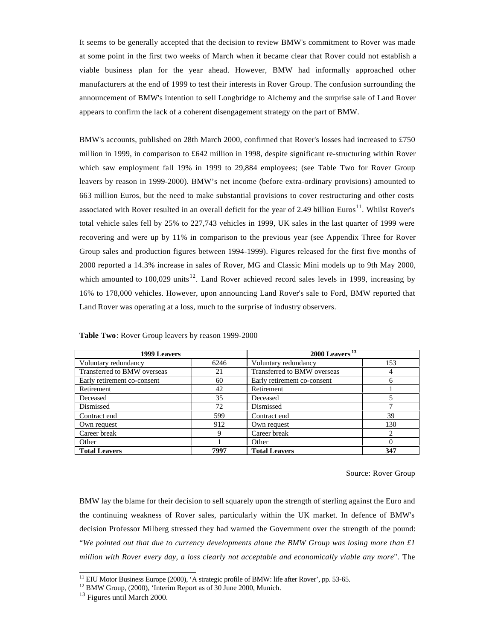It seems to be generally accepted that the decision to review BMW's commitment to Rover was made at some point in the first two weeks of March when it became clear that Rover could not establish a viable business plan for the year ahead. However, BMW had informally approached other manufacturers at the end of 1999 to test their interests in Rover Group. The confusion surrounding the announcement of BMW's intention to sell Longbridge to Alchemy and the surprise sale of Land Rover appears to confirm the lack of a coherent disengagement strategy on the part of BMW.

BMW's accounts, published on 28th March 2000, confirmed that Rover's losses had increased to £750 million in 1999, in comparison to £642 million in 1998, despite significant re-structuring within Rover which saw employment fall 19% in 1999 to 29,884 employees; (see Table Two for Rover Group leavers by reason in 1999-2000). BMW's net income (before extra-ordinary provisions) amounted to 663 million Euros, but the need to make substantial provisions to cover restructuring and other costs associated with Rover resulted in an overall deficit for the year of 2.49 billion Euros<sup>11</sup>. Whilst Rover's total vehicle sales fell by 25% to 227,743 vehicles in 1999, UK sales in the last quarter of 1999 were recovering and were up by 11% in comparison to the previous year (see Appendix Three for Rover Group sales and production figures between 1994-1999). Figures released for the first five months of 2000 reported a 14.3% increase in sales of Rover, MG and Classic Mini models up to 9th May 2000, which amounted to 100,029 units<sup>12</sup>. Land Rover achieved record sales levels in 1999, increasing by 16% to 178,000 vehicles. However, upon announcing Land Rover's sale to Ford, BMW reported that Land Rover was operating at a loss, much to the surprise of industry observers.

| 1999 Leavers                |      | $2000$ Leavers <sup>13</sup> |     |  |
|-----------------------------|------|------------------------------|-----|--|
| Voluntary redundancy        | 6246 | Voluntary redundancy         | 153 |  |
| Transferred to BMW overseas | 21   | Transferred to BMW overseas  |     |  |
| Early retirement co-consent | 60   | Early retirement co-consent  | n   |  |
| Retirement                  | 42   | Retirement                   |     |  |
| Deceased                    | 35   | Deceased                     |     |  |
| Dismissed                   | 72   | Dismissed                    |     |  |
| Contract end                | 599  | Contract end                 | 39  |  |
| Own request                 | 912  | Own request                  | 130 |  |
| Career break                |      | Career break                 | ◠   |  |
| Other                       |      | Other                        |     |  |
| <b>Total Leavers</b>        | 7997 | <b>Total Leavers</b>         | 347 |  |

**Table Two**: Rover Group leavers by reason 1999-2000

#### Source: Rover Group

BMW lay the blame for their decision to sell squarely upon the strength of sterling against the Euro and the continuing weakness of Rover sales, particularly within the UK market. In defence of BMW's decision Professor Milberg stressed they had warned the Government over the strength of the pound: "*We pointed out that due to currency developments alone the BMW Group was losing more than £1 million with Rover every day, a loss clearly not acceptable and economically viable any more*". The

<sup>&</sup>lt;sup>11</sup> EIU Motor Business Europe (2000), 'A strategic profile of BMW: life after Rover', pp. 53-65.

<sup>12</sup> BMW Group, (2000), 'Interim Report as of 30 June 2000, Munich.

<sup>&</sup>lt;sup>13</sup> Figures until March 2000.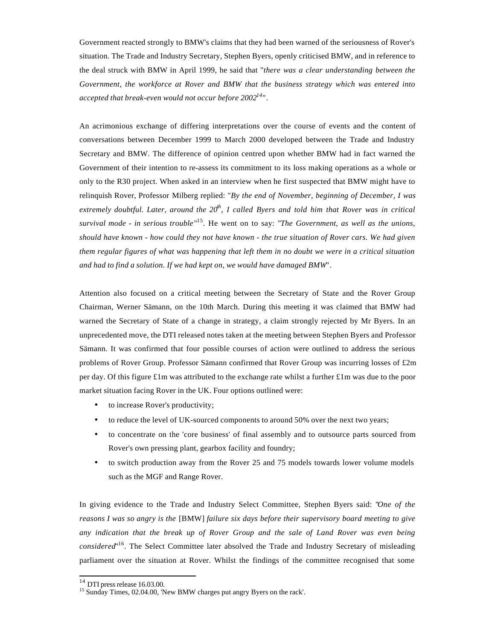Government reacted strongly to BMW's claims that they had been warned of the seriousness of Rover's situation. The Trade and Industry Secretary, Stephen Byers, openly criticised BMW, and in reference to the deal struck with BMW in April 1999, he said that "*there was a clear understanding between the Government, the workforce at Rover and BMW that the business strategy which was entered into accepted that break-even would not occur before 2002<sup>14</sup>*".

An acrimonious exchange of differing interpretations over the course of events and the content of conversations between December 1999 to March 2000 developed between the Trade and Industry Secretary and BMW. The difference of opinion centred upon whether BMW had in fact warned the Government of their intention to re-assess its commitment to its loss making operations as a whole or only to the R30 project. When asked in an interview when he first suspected that BMW might have to relinquish Rover, Professor Milberg replied: "*By the end of November, beginning of December, I was extremely doubtful. Later, around the 20th, I called Byers and told him that Rover was in critical survival mode - in serious trouble*" <sup>15</sup>. He went on to say: "*The Government, as well as the unions, should have known - how could they not have known - the true situation of Rover cars. We had given them regular figures of what was happening that left them in no doubt we were in a critical situation and had to find a solution. If we had kept on, we would have damaged BMW*".

Attention also focused on a critical meeting between the Secretary of State and the Rover Group Chairman, Werner Sämann, on the 10th March. During this meeting it was claimed that BMW had warned the Secretary of State of a change in strategy, a claim strongly rejected by Mr Byers. In an unprecedented move, the DTI released notes taken at the meeting between Stephen Byers and Professor Sämann. It was confirmed that four possible courses of action were outlined to address the serious problems of Rover Group. Professor Sämann confirmed that Rover Group was incurring losses of £2m per day. Of this figure £1m was attributed to the exchange rate whilst a further £1m was due to the poor market situation facing Rover in the UK. Four options outlined were:

- to increase Rover's productivity;
- to reduce the level of UK-sourced components to around 50% over the next two years;
- to concentrate on the 'core business' of final assembly and to outsource parts sourced from Rover's own pressing plant, gearbox facility and foundry;
- to switch production away from the Rover 25 and 75 models towards lower volume models such as the MGF and Range Rover.

In giving evidence to the Trade and Industry Select Committee, Stephen Byers said: "*One of the reasons I was so angry is the* [BMW] *failure six days before their supervisory board meeting to give any indication that the break up of Rover Group and the sale of Land Rover was even being considered*" <sup>16</sup>. The Select Committee later absolved the Trade and Industry Secretary of misleading parliament over the situation at Rover. Whilst the findings of the committee recognised that some

 $14$  DTI press release 16.03.00.

<sup>&</sup>lt;sup>15</sup> Sunday Times, 02.04.00, 'New BMW charges put angry Byers on the rack'.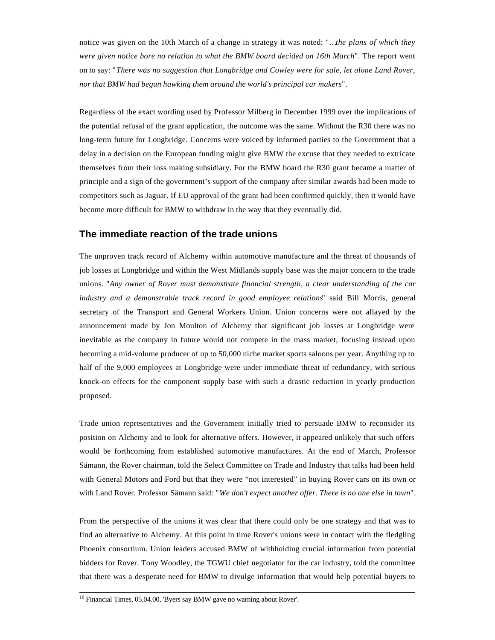notice was given on the 10th March of a change in strategy it was noted: "…*the plans of which they were given notice bore no relation to what the BMW board decided on 16th March*". The report went on to say: "*There was no suggestion that Longbridge and Cowley were for sale, let alone Land Rover, nor that BMW had begun hawking them around the world's principal car makers*".

Regardless of the exact wording used by Professor Milberg in December 1999 over the implications of the potential refusal of the grant application, the outcome was the same. Without the R30 there was no long-term future for Longbridge. Concerns were voiced by informed parties to the Government that a delay in a decision on the European funding might give BMW the excuse that they needed to extricate themselves from their loss making subsidiary. For the BMW board the R30 grant became a matter of principle and a sign of the government's support of the company after similar awards had been made to competitors such as Jaguar. If EU approval of the grant had been confirmed quickly, then it would have become more difficult for BMW to withdraw in the way that they eventually did.

#### **The immediate reaction of the trade unions**

The unproven track record of Alchemy within automotive manufacture and the threat of thousands of job losses at Longbridge and within the West Midlands supply base was the major concern to the trade unions. "*Any owner of Rover must demonstrate financial strength, a clear understanding of the car industry and a demonstrable track record in good employee relations*" said Bill Morris, general secretary of the Transport and General Workers Union. Union concerns were not allayed by the announcement made by Jon Moulton of Alchemy that significant job losses at Longbridge were inevitable as the company in future would not compete in the mass market, focusing instead upon becoming a mid-volume producer of up to 50,000 niche market sports saloons per year. Anything up to half of the 9,000 employees at Longbridge were under immediate threat of redundancy, with serious knock-on effects for the component supply base with such a drastic reduction in yearly production proposed.

Trade union representatives and the Government initially tried to persuade BMW to reconsider its position on Alchemy and to look for alternative offers. However, it appeared unlikely that such offers would be forthcoming from established automotive manufactures. At the end of March, Professor Sämann, the Rover chairman, told the Select Committee on Trade and Industry that talks had been held with General Motors and Ford but that they were "not interested" in buying Rover cars on its own or with Land Rover. Professor Sämann said: "*We don't expect another offer. There is no one else in town*".

From the perspective of the unions it was clear that there could only be one strategy and that was to find an alternative to Alchemy. At this point in time Rover's unions were in contact with the fledgling Phoenix consortium. Union leaders accused BMW of withholding crucial information from potential bidders for Rover. Tony Woodley, the TGWU chief negotiator for the car industry, told the committee that there was a desperate need for BMW to divulge information that would help potential buyers to

<sup>&</sup>lt;sup>16</sup> Financial Times, 05.04.00, 'Byers say BMW gave no warning about Rover'.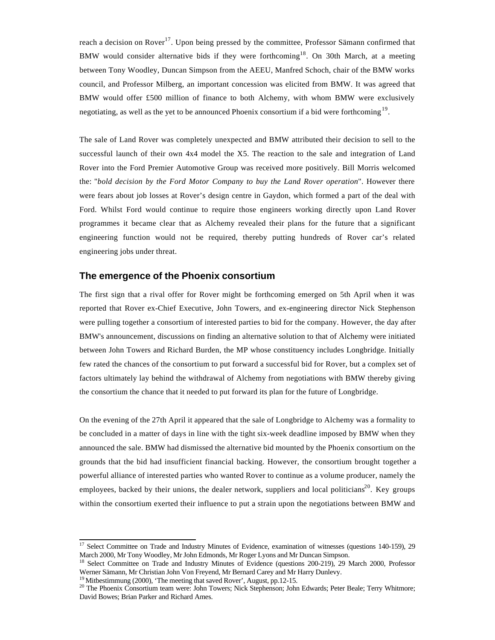reach a decision on Rover<sup>17</sup>. Upon being pressed by the committee, Professor Sämann confirmed that BMW would consider alternative bids if they were forthcoming<sup>18</sup>. On 30th March, at a meeting between Tony Woodley, Duncan Simpson from the AEEU, Manfred Schoch, chair of the BMW works council, and Professor Milberg, an important concession was elicited from BMW. It was agreed that BMW would offer £500 million of finance to both Alchemy, with whom BMW were exclusively negotiating, as well as the yet to be announced Phoenix consortium if a bid were forthcoming<sup>19</sup>.

The sale of Land Rover was completely unexpected and BMW attributed their decision to sell to the successful launch of their own 4x4 model the X5. The reaction to the sale and integration of Land Rover into the Ford Premier Automotive Group was received more positively. Bill Morris welcomed the: "*bold decision by the Ford Motor Company to buy the Land Rover operation*". However there were fears about job losses at Rover's design centre in Gaydon, which formed a part of the deal with Ford. Whilst Ford would continue to require those engineers working directly upon Land Rover programmes it became clear that as Alchemy revealed their plans for the future that a significant engineering function would not be required, thereby putting hundreds of Rover car's related engineering jobs under threat.

#### **The emergence of the Phoenix consortium**

The first sign that a rival offer for Rover might be forthcoming emerged on 5th April when it was reported that Rover ex-Chief Executive, John Towers, and ex-engineering director Nick Stephenson were pulling together a consortium of interested parties to bid for the company. However, the day after BMW's announcement, discussions on finding an alternative solution to that of Alchemy were initiated between John Towers and Richard Burden, the MP whose constituency includes Longbridge. Initially few rated the chances of the consortium to put forward a successful bid for Rover, but a complex set of factors ultimately lay behind the withdrawal of Alchemy from negotiations with BMW thereby giving the consortium the chance that it needed to put forward its plan for the future of Longbridge.

On the evening of the 27th April it appeared that the sale of Longbridge to Alchemy was a formality to be concluded in a matter of days in line with the tight six-week deadline imposed by BMW when they announced the sale. BMW had dismissed the alternative bid mounted by the Phoenix consortium on the grounds that the bid had insufficient financial backing. However, the consortium brought together a powerful alliance of interested parties who wanted Rover to continue as a volume producer, namely the employees, backed by their unions, the dealer network, suppliers and local politicians<sup>20</sup>. Key groups within the consortium exerted their influence to put a strain upon the negotiations between BMW and

 $17$  Select Committee on Trade and Industry Minutes of Evidence, examination of witnesses (questions 140-159), 29 March 2000, Mr Tony Woodley, Mr John Edmonds, Mr Roger Lyons and Mr Duncan Simpson.

<sup>&</sup>lt;sup>18</sup> Select Committee on Trade and Industry Minutes of Evidence (questions 200-219), 29 March 2000, Professor Werner Sämann, Mr Christian John Von Freyend, Mr Bernard Carey and Mr Harry Dunlevy.

<sup>&</sup>lt;sup>19</sup> Mitbestimmung (2000), 'The meeting that saved Rover', August, pp.12-15.

<sup>&</sup>lt;sup>20</sup> The Phoenix Consortium team were: John Towers; Nick Stephenson; John Edwards; Peter Beale; Terry Whitmore; David Bowes; Brian Parker and Richard Ames.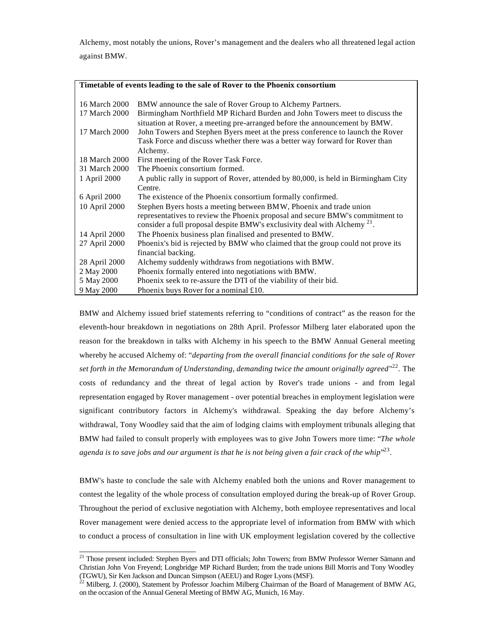Alchemy, most notably the unions, Rover's management and the dealers who all threatened legal action against BMW.

| Timetable of events leading to the sale of Rover to the Phoenix consortium |                                                                                                                                                                                                                                             |  |  |  |  |
|----------------------------------------------------------------------------|---------------------------------------------------------------------------------------------------------------------------------------------------------------------------------------------------------------------------------------------|--|--|--|--|
| 16 March 2000                                                              | BMW announce the sale of Rover Group to Alchemy Partners.                                                                                                                                                                                   |  |  |  |  |
| 17 March 2000                                                              | Birmingham Northfield MP Richard Burden and John Towers meet to discuss the<br>situation at Rover, a meeting pre-arranged before the announcement by BMW.                                                                                   |  |  |  |  |
| 17 March 2000                                                              | John Towers and Stephen Byers meet at the press conference to launch the Rover                                                                                                                                                              |  |  |  |  |
|                                                                            | Task Force and discuss whether there was a better way forward for Rover than<br>Alchemy.                                                                                                                                                    |  |  |  |  |
| 18 March 2000                                                              | First meeting of the Rover Task Force.                                                                                                                                                                                                      |  |  |  |  |
| 31 March 2000                                                              | The Phoenix consortium formed.                                                                                                                                                                                                              |  |  |  |  |
| 1 April 2000                                                               | A public rally in support of Rover, attended by 80,000, is held in Birmingham City<br>Centre.                                                                                                                                               |  |  |  |  |
| 6 April 2000                                                               | The existence of the Phoenix consortium formally confirmed.                                                                                                                                                                                 |  |  |  |  |
| 10 April 2000                                                              | Stephen Byers hosts a meeting between BMW, Phoenix and trade union<br>representatives to review the Phoenix proposal and secure BMW's commitment to<br>consider a full proposal despite BMW's exclusivity deal with Alchemy <sup>21</sup> . |  |  |  |  |
| 14 April 2000                                                              | The Phoenix business plan finalised and presented to BMW.                                                                                                                                                                                   |  |  |  |  |
| 27 April 2000                                                              | Phoenix's bid is rejected by BMW who claimed that the group could not prove its<br>financial backing.                                                                                                                                       |  |  |  |  |
| 28 April 2000                                                              | Alchemy suddenly withdraws from negotiations with BMW.                                                                                                                                                                                      |  |  |  |  |
| 2 May 2000                                                                 | Phoenix formally entered into negotiations with BMW.                                                                                                                                                                                        |  |  |  |  |
| 5 May 2000                                                                 | Phoenix seek to re-assure the DTI of the viability of their bid.                                                                                                                                                                            |  |  |  |  |
| 9 May 2000                                                                 | Phoenix buys Rover for a nominal $£10$ .                                                                                                                                                                                                    |  |  |  |  |

BMW and Alchemy issued brief statements referring to "conditions of contract" as the reason for the eleventh-hour breakdown in negotiations on 28th April. Professor Milberg later elaborated upon the reason for the breakdown in talks with Alchemy in his speech to the BMW Annual General meeting whereby he accused Alchemy of: "*departing from the overall financial conditions for the sale of Rover set forth in the Memorandum of Understanding, demanding twice the amount originally agreed*" <sup>22</sup>. The costs of redundancy and the threat of legal action by Rover's trade unions - and from legal representation engaged by Rover management - over potential breaches in employment legislation were significant contributory factors in Alchemy's withdrawal. Speaking the day before Alchemy's withdrawal, Tony Woodley said that the aim of lodging claims with employment tribunals alleging that BMW had failed to consult properly with employees was to give John Towers more time: "*The whole* agenda is to save jobs and our argument is that he is not being given a fair crack of the whip<sup>,,23</sup>.

BMW's haste to conclude the sale with Alchemy enabled both the unions and Rover management to contest the legality of the whole process of consultation employed during the break-up of Rover Group. Throughout the period of exclusive negotiation with Alchemy, both employee representatives and local Rover management were denied access to the appropriate level of information from BMW with which to conduct a process of consultation in line with UK employment legislation covered by the collective

l <sup>21</sup> Those present included: Stephen Byers and DTI officials; John Towers; from BMW Professor Werner Sämann and Christian John Von Freyend; Longbridge MP Richard Burden; from the trade unions Bill Morris and Tony Woodley (TGWU), Sir Ken Jackson and Duncan Simpson (AEEU) and Roger Lyons (MSF).

 $^{22}$  Milberg, J. (2000), Statement by Professor Joachim Milberg Chairman of the Board of Management of BMW AG, on the occasion of the Annual General Meeting of BMW AG, Munich, 16 May.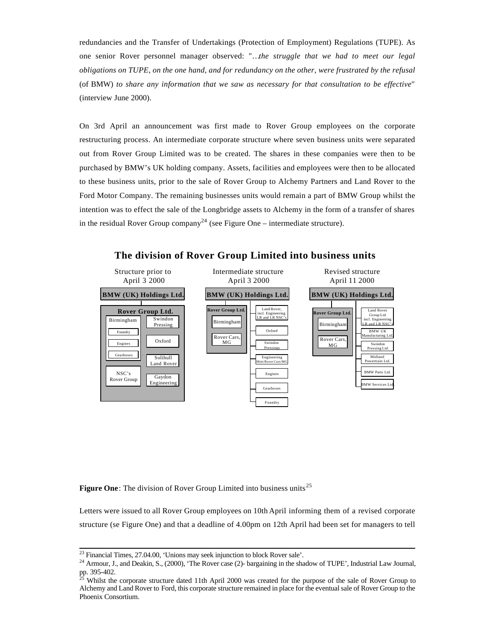redundancies and the Transfer of Undertakings (Protection of Employment) Regulations (TUPE). As one senior Rover personnel manager observed: "…*the struggle that we had to meet our legal obligations on TUPE, on the one hand, and for redundancy on the other, were frustrated by the refusal* (of BMW) *to share any information that we saw as necessary for that consultation to be effective*" (interview June 2000).

On 3rd April an announcement was first made to Rover Group employees on the corporate restructuring process. An intermediate corporate structure where seven business units were separated out from Rover Group Limited was to be created. The shares in these companies were then to be purchased by BMW's UK holding company. Assets, facilities and employees were then to be allocated to these business units, prior to the sale of Rover Group to Alchemy Partners and Land Rover to the Ford Motor Company. The remaining businesses units would remain a part of BMW Group whilst the intention was to effect the sale of the Longbridge assets to Alchemy in the form of a transfer of shares in the residual Rover Group company<sup>24</sup> (see Figure One – intermediate structure).



## **The division of Rover Group Limited into business units**

Figure One: The division of Rover Group Limited into business units<sup>25</sup>

Letters were issued to all Rover Group employees on 10th April informing them of a revised corporate structure (se Figure One) and that a deadline of 4.00pm on 12th April had been set for managers to tell

 $^{23}$  Financial Times, 27.04.00, 'Unions may seek injunction to block Rover sale'.

<sup>&</sup>lt;sup>24</sup> Armour, J., and Deakin, S., (2000), 'The Rover case (2)- bargaining in the shadow of TUPE', Industrial Law Journal, pp. 395-402.

<sup>25</sup> Whilst the corporate structure dated 11th April 2000 was created for the purpose of the sale of Rover Group to Alchemy and Land Rover to Ford, this corporate structure remained in place for the eventual sale of Rover Group to the Phoenix Consortium.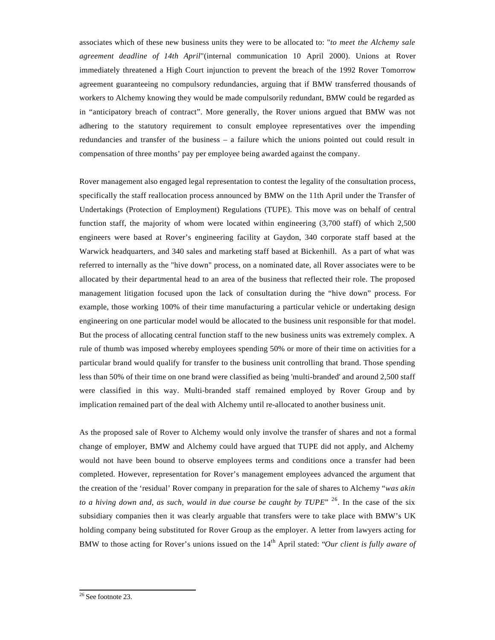associates which of these new business units they were to be allocated to: "*to meet the Alchemy sale agreement deadline of 14th April*"(internal communication 10 April 2000). Unions at Rover immediately threatened a High Court injunction to prevent the breach of the 1992 Rover Tomorrow agreement guaranteeing no compulsory redundancies, arguing that if BMW transferred thousands of workers to Alchemy knowing they would be made compulsorily redundant, BMW could be regarded as in "anticipatory breach of contract". More generally, the Rover unions argued that BMW was not adhering to the statutory requirement to consult employee representatives over the impending redundancies and transfer of the business – a failure which the unions pointed out could result in compensation of three months' pay per employee being awarded against the company.

Rover management also engaged legal representation to contest the legality of the consultation process, specifically the staff reallocation process announced by BMW on the 11th April under the Transfer of Undertakings (Protection of Employment) Regulations (TUPE). This move was on behalf of central function staff, the majority of whom were located within engineering (3,700 staff) of which 2,500 engineers were based at Rover's engineering facility at Gaydon, 340 corporate staff based at the Warwick headquarters, and 340 sales and marketing staff based at Bickenhill. As a part of what was referred to internally as the "hive down" process, on a nominated date, all Rover associates were to be allocated by their departmental head to an area of the business that reflected their role. The proposed management litigation focused upon the lack of consultation during the "hive down" process. For example, those working 100% of their time manufacturing a particular vehicle or undertaking design engineering on one particular model would be allocated to the business unit responsible for that model. But the process of allocating central function staff to the new business units was extremely complex. A rule of thumb was imposed whereby employees spending 50% or more of their time on activities for a particular brand would qualify for transfer to the business unit controlling that brand. Those spending less than 50% of their time on one brand were classified as being 'multi-branded' and around 2,500 staff were classified in this way. Multi-branded staff remained employed by Rover Group and by implication remained part of the deal with Alchemy until re-allocated to another business unit.

As the proposed sale of Rover to Alchemy would only involve the transfer of shares and not a formal change of employer, BMW and Alchemy could have argued that TUPE did not apply, and Alchemy would not have been bound to observe employees terms and conditions once a transfer had been completed. However, representation for Rover's management employees advanced the argument that the creation of the 'residual' Rover company in preparation for the sale of shares to Alchemy "*was akin to a hiving down and, as such, would in due course be caught by TUPE*" <sup>26</sup>. In the case of the six subsidiary companies then it was clearly arguable that transfers were to take place with BMW's UK holding company being substituted for Rover Group as the employer. A letter from lawyers acting for BMW to those acting for Rover's unions issued on the 14<sup>th</sup> April stated: "*Our client is fully aware of* 

l <sup>26</sup> See footnote 23.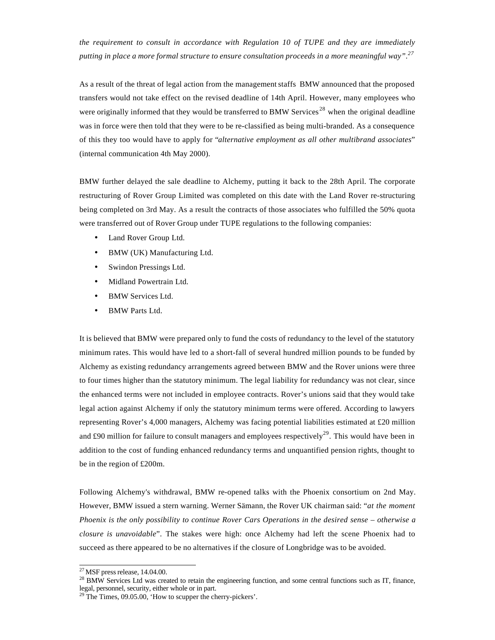*the requirement to consult in accordance with Regulation 10 of TUPE and they are immediately putting in place a more formal structure to ensure consultation proceeds in a more meaningful way".<sup>27</sup>*

As a result of the threat of legal action from the management staffs BMW announced that the proposed transfers would not take effect on the revised deadline of 14th April. However, many employees who were originally informed that they would be transferred to BMW Services<sup>28</sup> when the original deadline was in force were then told that they were to be re-classified as being multi-branded. As a consequence of this they too would have to apply for "*alternative employment as all other multibrand associates*" (internal communication 4th May 2000).

BMW further delayed the sale deadline to Alchemy, putting it back to the 28th April. The corporate restructuring of Rover Group Limited was completed on this date with the Land Rover re-structuring being completed on 3rd May. As a result the contracts of those associates who fulfilled the 50% quota were transferred out of Rover Group under TUPE regulations to the following companies:

- Land Rover Group Ltd.
- BMW (UK) Manufacturing Ltd.
- Swindon Pressings Ltd.
- Midland Powertrain Ltd.
- BMW Services Ltd.
- BMW Parts Ltd.

It is believed that BMW were prepared only to fund the costs of redundancy to the level of the statutory minimum rates. This would have led to a short-fall of several hundred million pounds to be funded by Alchemy as existing redundancy arrangements agreed between BMW and the Rover unions were three to four times higher than the statutory minimum. The legal liability for redundancy was not clear, since the enhanced terms were not included in employee contracts. Rover's unions said that they would take legal action against Alchemy if only the statutory minimum terms were offered. According to lawyers representing Rover's 4,000 managers, Alchemy was facing potential liabilities estimated at £20 million and £90 million for failure to consult managers and employees respectively<sup>29</sup>. This would have been in addition to the cost of funding enhanced redundancy terms and unquantified pension rights, thought to be in the region of £200m.

Following Alchemy's withdrawal, BMW re-opened talks with the Phoenix consortium on 2nd May. However, BMW issued a stern warning. Werner Sämann, the Rover UK chairman said: "*at the moment Phoenix is the only possibility to continue Rover Cars Operations in the desired sense – otherwise a closure is unavoidable*". The stakes were high: once Alchemy had left the scene Phoenix had to succeed as there appeared to be no alternatives if the closure of Longbridge was to be avoided.

 $^{27}$  MSF press release, 14.04.00.

<sup>&</sup>lt;sup>28</sup> BMW Services Ltd was created to retain the engineering function, and some central functions such as IT, finance, legal, personnel, security, either whole or in part.

<sup>&</sup>lt;sup>29</sup> The Times, 09.05.00, 'How to scupper the cherry-pickers'.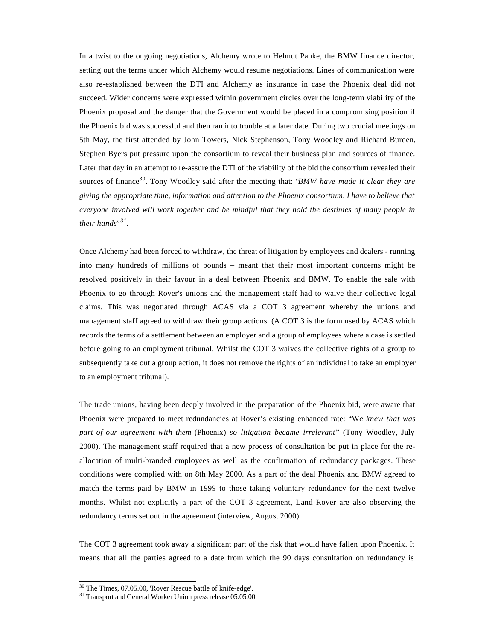In a twist to the ongoing negotiations, Alchemy wrote to Helmut Panke, the BMW finance director, setting out the terms under which Alchemy would resume negotiations. Lines of communication were also re-established between the DTI and Alchemy as insurance in case the Phoenix deal did not succeed. Wider concerns were expressed within government circles over the long-term viability of the Phoenix proposal and the danger that the Government would be placed in a compromising position if the Phoenix bid was successful and then ran into trouble at a later date. During two crucial meetings on 5th May, the first attended by John Towers, Nick Stephenson, Tony Woodley and Richard Burden, Stephen Byers put pressure upon the consortium to reveal their business plan and sources of finance. Later that day in an attempt to re-assure the DTI of the viability of the bid the consortium revealed their sources of finance<sup>30</sup>. Tony Woodley said after the meeting that: "*BMW have made it clear they are giving the appropriate time, information and attention to the Phoenix consortium. I have to believe that everyone involved will work together and be mindful that they hold the destinies of many people in their hands*" *31 .*

Once Alchemy had been forced to withdraw, the threat of litigation by employees and dealers - running into many hundreds of millions of pounds – meant that their most important concerns might be resolved positively in their favour in a deal between Phoenix and BMW. To enable the sale with Phoenix to go through Rover's unions and the management staff had to waive their collective legal claims. This was negotiated through ACAS via a COT 3 agreement whereby the unions and management staff agreed to withdraw their group actions. (A COT 3 is the form used by ACAS which records the terms of a settlement between an employer and a group of employees where a case is settled before going to an employment tribunal. Whilst the COT 3 waives the collective rights of a group to subsequently take out a group action, it does not remove the rights of an individual to take an employer to an employment tribunal).

The trade unions, having been deeply involved in the preparation of the Phoenix bid, were aware that Phoenix were prepared to meet redundancies at Rover's existing enhanced rate: "W*e knew that was part of our agreement with them* (Phoenix) *so litigation became irrelevant*" (Tony Woodley, July 2000). The management staff required that a new process of consultation be put in place for the reallocation of multi-branded employees as well as the confirmation of redundancy packages. These conditions were complied with on 8th May 2000. As a part of the deal Phoenix and BMW agreed to match the terms paid by BMW in 1999 to those taking voluntary redundancy for the next twelve months. Whilst not explicitly a part of the COT 3 agreement, Land Rover are also observing the redundancy terms set out in the agreement (interview, August 2000).

The COT 3 agreement took away a significant part of the risk that would have fallen upon Phoenix. It means that all the parties agreed to a date from which the 90 days consultation on redundancy is

<sup>&</sup>lt;sup>30</sup> The Times, 07.05.00, 'Rover Rescue battle of knife-edge'.

<sup>&</sup>lt;sup>31</sup> Transport and General Worker Union press release 05.05.00.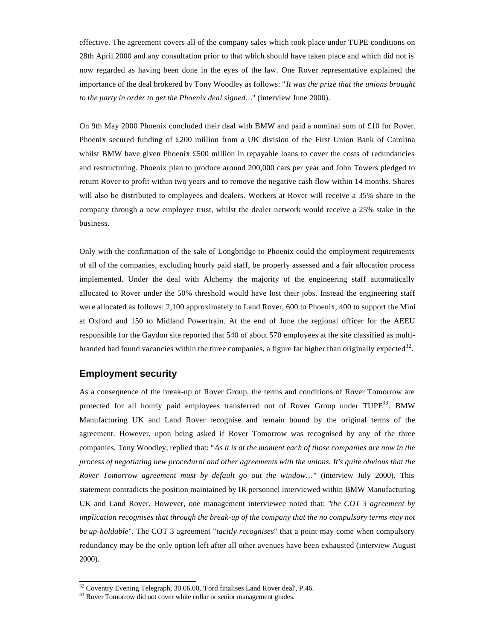effective. The agreement covers all of the company sales which took place under TUPE conditions on 28th April 2000 and any consultation prior to that which should have taken place and which did not is now regarded as having been done in the eyes of the law. One Rover representative explained the importance of the deal brokered by Tony Woodley as follows: "*It was the prize that the unions brought to the party in order to get the Phoenix deal signed…*" (interview June 2000).

On 9th May 2000 Phoenix concluded their deal with BMW and paid a nominal sum of £10 for Rover. Phoenix secured funding of £200 million from a UK division of the First Union Bank of Carolina whilst BMW have given Phoenix £500 million in repayable loans to cover the costs of redundancies and restructuring. Phoenix plan to produce around 200,000 cars per year and John Towers pledged to return Rover to profit within two years and to remove the negative cash flow within 14 months. Shares will also be distributed to employees and dealers. Workers at Rover will receive a 35% share in the company through a new employee trust, whilst the dealer network would receive a 25% stake in the business.

Only with the confirmation of the sale of Longbridge to Phoenix could the employment requirements of all of the companies, excluding hourly paid staff, be properly assessed and a fair allocation process implemented. Under the deal with Alchemy the majority of the engineering staff automatically allocated to Rover under the 50% threshold would have lost their jobs. Instead the engineering staff were allocated as follows: 2,100 approximately to Land Rover, 600 to Phoenix, 400 to support the Mini at Oxford and 150 to Midland Powertrain. At the end of June the regional officer for the AEEU responsible for the Gaydon site reported that 540 of about 570 employees at the site classified as multibranded had found vacancies within the three companies, a figure far higher than originally expected<sup>32</sup>.

#### **Employment security**

l

As a consequence of the break-up of Rover Group, the terms and conditions of Rover Tomorrow are protected for all hourly paid employees transferred out of Rover Group under TUPE<sup>33</sup>. BMW Manufacturing UK and Land Rover recognise and remain bound by the original terms of the agreement. However, upon being asked if Rover Tomorrow was recognised by any of the three companies, Tony Woodley, replied that: "*As it is at the moment each of those companies are now in the process of negotiating new procedural and other agreements with the unions. It's quite obvious that the Rover Tomorrow agreement must by default go out the window…"* (interview July 2000). This statement contradicts the position maintained by IR personnel interviewed within BMW Manufacturing UK and Land Rover. However, one management interviewee noted that: "*the COT 3 agreement by implication recognises that through the break-up of the company that the no compulsory terms may not be up-holdable*". The COT 3 agreement "*tacitly recognises*" that a point may come when compulsory redundancy may be the only option left after all other avenues have been exhausted (interview August 2000).

 $32$  Coventry Evening Telegraph, 30.06.00, 'Ford finalises Land Rover deal', P.46.

<sup>&</sup>lt;sup>33</sup> Rover Tomorrow did not cover white collar or senior management grades.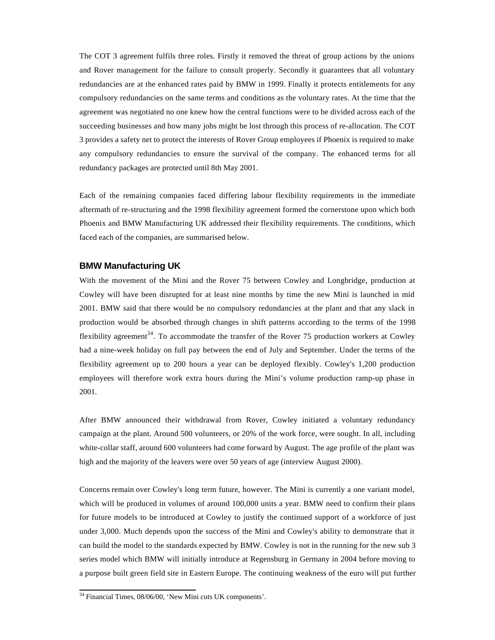The COT 3 agreement fulfils three roles. Firstly it removed the threat of group actions by the unions and Rover management for the failure to consult properly. Secondly it guarantees that all voluntary redundancies are at the enhanced rates paid by BMW in 1999. Finally it protects entitlements for any compulsory redundancies on the same terms and conditions as the voluntary rates. At the time that the agreement was negotiated no one knew how the central functions were to be divided across each of the succeeding businesses and how many jobs might be lost through this process of re-allocation. The COT 3 provides a safety net to protect the interests of Rover Group employees if Phoenix is required to make any compulsory redundancies to ensure the survival of the company. The enhanced terms for all redundancy packages are protected until 8th May 2001.

Each of the remaining companies faced differing labour flexibility requirements in the immediate aftermath of re-structuring and the 1998 flexibility agreement formed the cornerstone upon which both Phoenix and BMW Manufacturing UK addressed their flexibility requirements. The conditions, which faced each of the companies, are summarised below.

#### **BMW Manufacturing UK**

With the movement of the Mini and the Rover 75 between Cowley and Longbridge, production at Cowley will have been disrupted for at least nine months by time the new Mini is launched in mid 2001. BMW said that there would be no compulsory redundancies at the plant and that any slack in production would be absorbed through changes in shift patterns according to the terms of the 1998 flexibility agreement<sup>34</sup>. To accommodate the transfer of the Rover 75 production workers at Cowley had a nine-week holiday on full pay between the end of July and September. Under the terms of the flexibility agreement up to 200 hours a year can be deployed flexibly. Cowley's 1,200 production employees will therefore work extra hours during the Mini's volume production ramp-up phase in 2001.

After BMW announced their withdrawal from Rover, Cowley initiated a voluntary redundancy campaign at the plant. Around 500 volunteers, or 20% of the work force, were sought. In all, including white-collar staff, around 600 volunteers had come forward by August. The age profile of the plant was high and the majority of the leavers were over 50 years of age (interview August 2000).

Concerns remain over Cowley's long term future, however. The Mini is currently a one variant model, which will be produced in volumes of around 100,000 units a year. BMW need to confirm their plans for future models to be introduced at Cowley to justify the continued support of a workforce of just under 3,000. Much depends upon the success of the Mini and Cowley's ability to demonstrate that it can build the model to the standards expected by BMW. Cowley is not in the running for the new sub 3 series model which BMW will initially introduce at Regensburg in Germany in 2004 before moving to a purpose built green field site in Eastern Europe. The continuing weakness of the euro will put further

<sup>&</sup>lt;sup>34</sup> Financial Times, 08/06/00, 'New Mini cuts UK components'.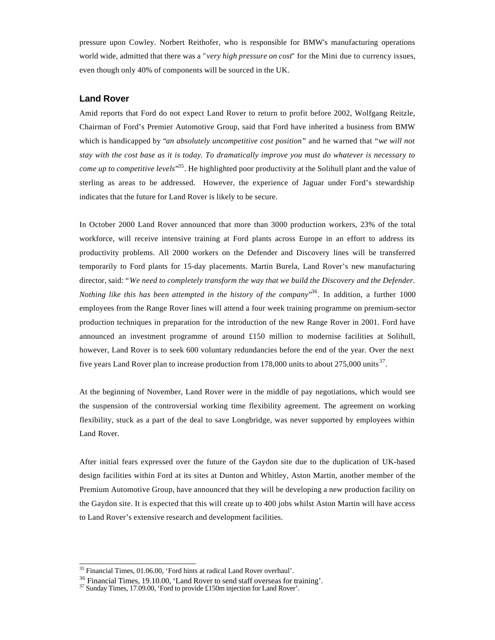pressure upon Cowley. Norbert Reithofer, who is responsible for BMW's manufacturing operations world wide, admitted that there was a "*very high pressure on cost*" for the Mini due to currency issues, even though only 40% of components will be sourced in the UK.

#### **Land Rover**

Amid reports that Ford do not expect Land Rover to return to profit before 2002, Wolfgang Reitzle, Chairman of Ford's Premier Automotive Group, said that Ford have inherited a business from BMW which is handicapped by "*an absolutely uncompetitive cost position*" and he warned that "w*e will not stay with the cost base as it is today. To dramatically improve you must do whatever is necessary to come up to competitive levels*" <sup>35</sup>. He highlighted poor productivity at the Solihull plant and the value of sterling as areas to be addressed. However, the experience of Jaguar under Ford's stewardship indicates that the future for Land Rover is likely to be secure.

In October 2000 Land Rover announced that more than 3000 production workers, 23% of the total workforce, will receive intensive training at Ford plants across Europe in an effort to address its productivity problems. All 2000 workers on the Defender and Discovery lines will be transferred temporarily to Ford plants for 15-day placements. Martin Burela, Land Rover's new manufacturing director, said: "*We need to completely transform the way that we build the Discovery and the Defender. Nothing like this has been attempted in the history of the company*" <sup>36</sup>. In addition, a further 1000 employees from the Range Rover lines will attend a four week training programme on premium-sector production techniques in preparation for the introduction of the new Range Rover in 2001. Ford have announced an investment programme of around £150 million to modernise facilities at Solihull, however, Land Rover is to seek 600 voluntary redundancies before the end of the year. Over the next five years Land Rover plan to increase production from 178,000 units to about 275,000 units<sup>37</sup>.

At the beginning of November, Land Rover were in the middle of pay negotiations, which would see the suspension of the controversial working time flexibility agreement. The agreement on working flexibility, stuck as a part of the deal to save Longbridge, was never supported by employees within Land Rover.

After initial fears expressed over the future of the Gaydon site due to the duplication of UK-based design facilities within Ford at its sites at Dunton and Whitley, Aston Martin, another member of the Premium Automotive Group, have announced that they will be developing a new production facility on the Gaydon site. It is expected that this will create up to 400 jobs whilst Aston Martin will have access to Land Rover's extensive research and development facilities.

<sup>&</sup>lt;sup>35</sup> Financial Times, 01.06.00, 'Ford hints at radical Land Rover overhaul'.

 $\frac{36}{25}$  Financial Times, 19.10.00, 'Land Rover to send staff overseas for training'.

<sup>&</sup>lt;sup>37</sup> Sunday Times, 17.09.00, 'Ford to provide £150m injection for Land Rover'.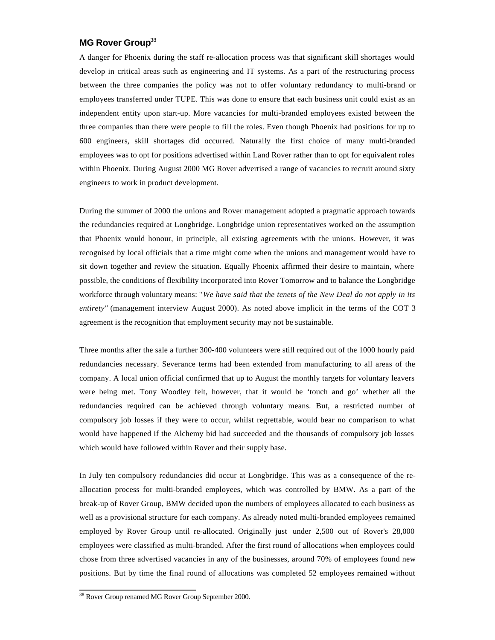#### **MG Rover Group**<sup>38</sup>

A danger for Phoenix during the staff re-allocation process was that significant skill shortages would develop in critical areas such as engineering and IT systems. As a part of the restructuring process between the three companies the policy was not to offer voluntary redundancy to multi-brand or employees transferred under TUPE. This was done to ensure that each business unit could exist as an independent entity upon start-up. More vacancies for multi-branded employees existed between the three companies than there were people to fill the roles. Even though Phoenix had positions for up to 600 engineers, skill shortages did occurred. Naturally the first choice of many multi-branded employees was to opt for positions advertised within Land Rover rather than to opt for equivalent roles within Phoenix. During August 2000 MG Rover advertised a range of vacancies to recruit around sixty engineers to work in product development.

During the summer of 2000 the unions and Rover management adopted a pragmatic approach towards the redundancies required at Longbridge. Longbridge union representatives worked on the assumption that Phoenix would honour, in principle, all existing agreements with the unions. However, it was recognised by local officials that a time might come when the unions and management would have to sit down together and review the situation. Equally Phoenix affirmed their desire to maintain, where possible, the conditions of flexibility incorporated into Rover Tomorrow and to balance the Longbridge workforce through voluntary means: "*We have said that the tenets of the New Deal do not apply in its entirety"* (management interview August 2000). As noted above implicit in the terms of the COT 3 agreement is the recognition that employment security may not be sustainable.

Three months after the sale a further 300-400 volunteers were still required out of the 1000 hourly paid redundancies necessary. Severance terms had been extended from manufacturing to all areas of the company. A local union official confirmed that up to August the monthly targets for voluntary leavers were being met. Tony Woodley felt, however, that it would be 'touch and go' whether all the redundancies required can be achieved through voluntary means. But, a restricted number of compulsory job losses if they were to occur, whilst regrettable, would bear no comparison to what would have happened if the Alchemy bid had succeeded and the thousands of compulsory job losses which would have followed within Rover and their supply base.

In July ten compulsory redundancies did occur at Longbridge. This was as a consequence of the reallocation process for multi-branded employees, which was controlled by BMW. As a part of the break-up of Rover Group, BMW decided upon the numbers of employees allocated to each business as well as a provisional structure for each company. As already noted multi-branded employees remained employed by Rover Group until re-allocated. Originally just under 2,500 out of Rover's 28,000 employees were classified as multi-branded. After the first round of allocations when employees could chose from three advertised vacancies in any of the businesses, around 70% of employees found new positions. But by time the final round of allocations was completed 52 employees remained without

<sup>&</sup>lt;sup>38</sup> Rover Group renamed MG Rover Group September 2000.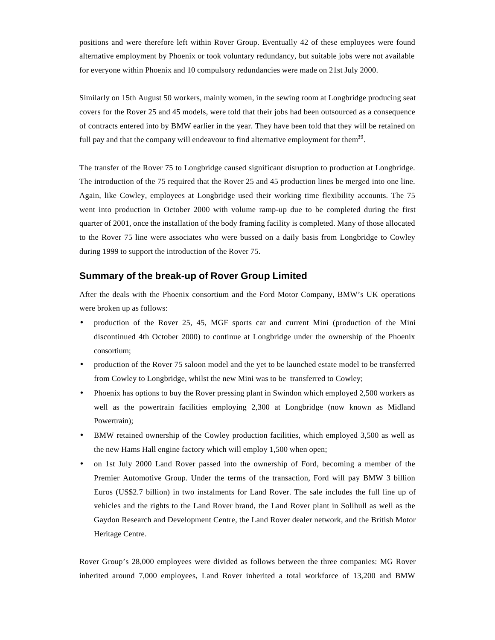positions and were therefore left within Rover Group. Eventually 42 of these employees were found alternative employment by Phoenix or took voluntary redundancy, but suitable jobs were not available for everyone within Phoenix and 10 compulsory redundancies were made on 21st July 2000.

Similarly on 15th August 50 workers, mainly women, in the sewing room at Longbridge producing seat covers for the Rover 25 and 45 models, were told that their jobs had been outsourced as a consequence of contracts entered into by BMW earlier in the year. They have been told that they will be retained on full pay and that the company will endeavour to find alternative employment for them<sup>39</sup>.

The transfer of the Rover 75 to Longbridge caused significant disruption to production at Longbridge. The introduction of the 75 required that the Rover 25 and 45 production lines be merged into one line. Again, like Cowley, employees at Longbridge used their working time flexibility accounts. The 75 went into production in October 2000 with volume ramp-up due to be completed during the first quarter of 2001, once the installation of the body framing facility is completed. Many of those allocated to the Rover 75 line were associates who were bussed on a daily basis from Longbridge to Cowley during 1999 to support the introduction of the Rover 75.

#### **Summary of the break-up of Rover Group Limited**

After the deals with the Phoenix consortium and the Ford Motor Company, BMW's UK operations were broken up as follows:

- production of the Rover 25, 45, MGF sports car and current Mini (production of the Mini discontinued 4th October 2000) to continue at Longbridge under the ownership of the Phoenix consortium;
- production of the Rover 75 saloon model and the yet to be launched estate model to be transferred from Cowley to Longbridge, whilst the new Mini was to be transferred to Cowley;
- Phoenix has options to buy the Rover pressing plant in Swindon which employed 2,500 workers as well as the powertrain facilities employing 2,300 at Longbridge (now known as Midland Powertrain);
- BMW retained ownership of the Cowley production facilities, which employed 3,500 as well as the new Hams Hall engine factory which will employ 1,500 when open;
- on 1st July 2000 Land Rover passed into the ownership of Ford, becoming a member of the Premier Automotive Group. Under the terms of the transaction, Ford will pay BMW 3 billion Euros (US\$2.7 billion) in two instalments for Land Rover. The sale includes the full line up of vehicles and the rights to the Land Rover brand, the Land Rover plant in Solihull as well as the Gaydon Research and Development Centre, the Land Rover dealer network, and the British Motor Heritage Centre.

Rover Group's 28,000 employees were divided as follows between the three companies: MG Rover inherited around 7,000 employees, Land Rover inherited a total workforce of 13,200 and BMW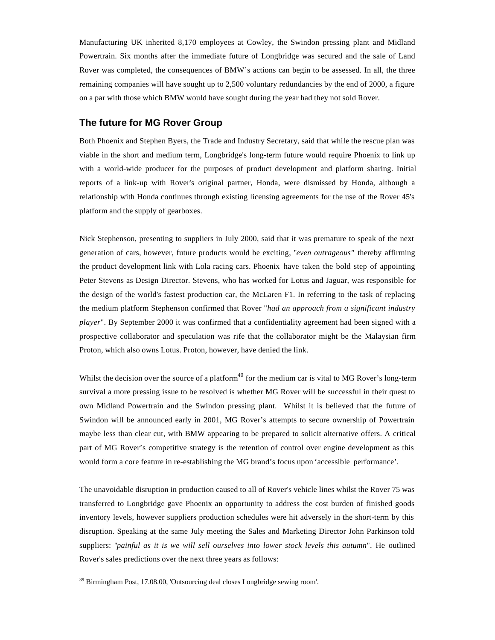Manufacturing UK inherited 8,170 employees at Cowley, the Swindon pressing plant and Midland Powertrain. Six months after the immediate future of Longbridge was secured and the sale of Land Rover was completed, the consequences of BMW's actions can begin to be assessed. In all, the three remaining companies will have sought up to 2,500 voluntary redundancies by the end of 2000, a figure on a par with those which BMW would have sought during the year had they not sold Rover.

#### **The future for MG Rover Group**

Both Phoenix and Stephen Byers, the Trade and Industry Secretary, said that while the rescue plan was viable in the short and medium term, Longbridge's long-term future would require Phoenix to link up with a world-wide producer for the purposes of product development and platform sharing. Initial reports of a link-up with Rover's original partner, Honda, were dismissed by Honda, although a relationship with Honda continues through existing licensing agreements for the use of the Rover 45's platform and the supply of gearboxes.

Nick Stephenson, presenting to suppliers in July 2000, said that it was premature to speak of the next generation of cars, however, future products would be exciting, "*even outrageous"* thereby affirming the product development link with Lola racing cars. Phoenix have taken the bold step of appointing Peter Stevens as Design Director. Stevens, who has worked for Lotus and Jaguar, was responsible for the design of the world's fastest production car, the McLaren F1. In referring to the task of replacing the medium platform Stephenson confirmed that Rover "*had an approach from a significant industry player*". By September 2000 it was confirmed that a confidentiality agreement had been signed with a prospective collaborator and speculation was rife that the collaborator might be the Malaysian firm Proton, which also owns Lotus. Proton, however, have denied the link.

Whilst the decision over the source of a platform $40$  for the medium car is vital to MG Rover's long-term survival a more pressing issue to be resolved is whether MG Rover will be successful in their quest to own Midland Powertrain and the Swindon pressing plant. Whilst it is believed that the future of Swindon will be announced early in 2001, MG Rover's attempts to secure ownership of Powertrain maybe less than clear cut, with BMW appearing to be prepared to solicit alternative offers. A critical part of MG Rover's competitive strategy is the retention of control over engine development as this would form a core feature in re-establishing the MG brand's focus upon 'accessible performance'.

The unavoidable disruption in production caused to all of Rover's vehicle lines whilst the Rover 75 was transferred to Longbridge gave Phoenix an opportunity to address the cost burden of finished goods inventory levels, however suppliers production schedules were hit adversely in the short-term by this disruption. Speaking at the same July meeting the Sales and Marketing Director John Parkinson told suppliers: "*painful as it is we will sell ourselves into lower stock levels this autumn*". He outlined Rover's sales predictions over the next three years as follows:

<sup>&</sup>lt;sup>39</sup> Birmingham Post, 17.08.00, 'Outsourcing deal closes Longbridge sewing room'.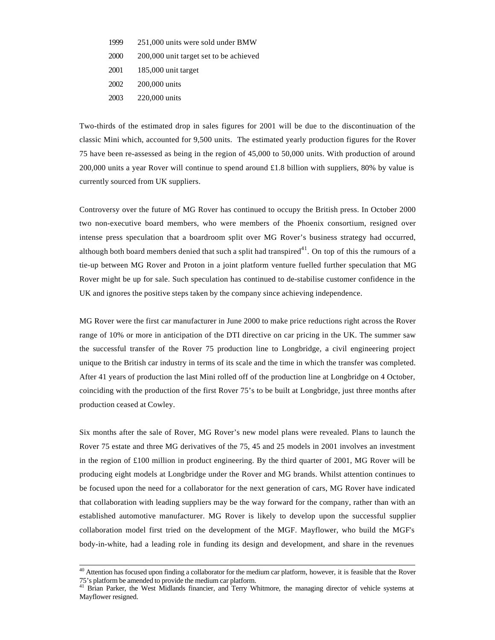- 1999 251,000 units were sold under BMW
- 2000 200,000 unit target set to be achieved
- 2001 185,000 unit target
- 2002 200,000 units
- 2003 220,000 units

l

Two-thirds of the estimated drop in sales figures for 2001 will be due to the discontinuation of the classic Mini which, accounted for 9,500 units. The estimated yearly production figures for the Rover 75 have been re-assessed as being in the region of 45,000 to 50,000 units. With production of around 200,000 units a year Rover will continue to spend around £1.8 billion with suppliers, 80% by value is currently sourced from UK suppliers.

Controversy over the future of MG Rover has continued to occupy the British press. In October 2000 two non-executive board members, who were members of the Phoenix consortium, resigned over intense press speculation that a boardroom split over MG Rover's business strategy had occurred, although both board members denied that such a split had transpired<sup>41</sup>. On top of this the rumours of a tie-up between MG Rover and Proton in a joint platform venture fuelled further speculation that MG Rover might be up for sale. Such speculation has continued to de-stabilise customer confidence in the UK and ignores the positive steps taken by the company since achieving independence.

MG Rover were the first car manufacturer in June 2000 to make price reductions right across the Rover range of 10% or more in anticipation of the DTI directive on car pricing in the UK. The summer saw the successful transfer of the Rover 75 production line to Longbridge, a civil engineering project unique to the British car industry in terms of its scale and the time in which the transfer was completed. After 41 years of production the last Mini rolled off of the production line at Longbridge on 4 October, coinciding with the production of the first Rover 75's to be built at Longbridge, just three months after production ceased at Cowley.

Six months after the sale of Rover, MG Rover's new model plans were revealed. Plans to launch the Rover 75 estate and three MG derivatives of the 75, 45 and 25 models in 2001 involves an investment in the region of £100 million in product engineering. By the third quarter of 2001, MG Rover will be producing eight models at Longbridge under the Rover and MG brands. Whilst attention continues to be focused upon the need for a collaborator for the next generation of cars, MG Rover have indicated that collaboration with leading suppliers may be the way forward for the company, rather than with an established automotive manufacturer. MG Rover is likely to develop upon the successful supplier collaboration model first tried on the development of the MGF. Mayflower, who build the MGF's body-in-white, had a leading role in funding its design and development, and share in the revenues

 $40$  Attention has focused upon finding a collaborator for the medium car platform, however, it is feasible that the Rover 75's platform be amended to provide the medium car platform.

<sup>&</sup>lt;sup>41</sup> Brian Parker, the West Midlands financier, and Terry Whitmore, the managing director of vehicle systems at Mayflower resigned.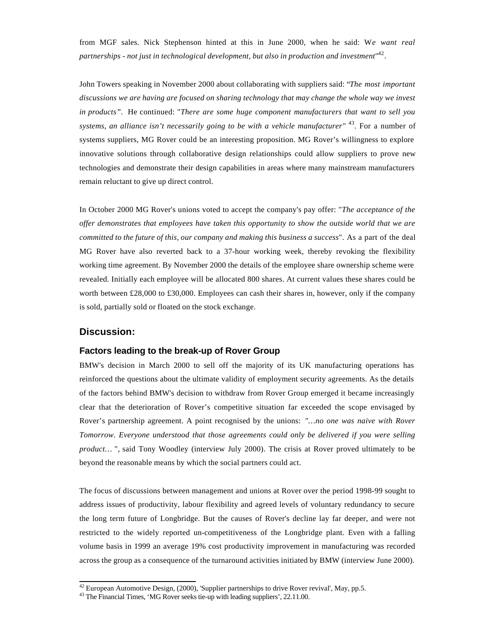from MGF sales. Nick Stephenson hinted at this in June 2000, when he said: W*e want real partnerships - not just in technological development, but also in production and investment*" 42 .

John Towers speaking in November 2000 about collaborating with suppliers said: "*The most important discussions we are having are focused on sharing technology that may change the whole way we invest in products".* He continued: "*There are some huge component manufacturers that want to sell you* systems, an alliance isn't necessarily going to be with a vehicle manufacturer" <sup>43</sup>. For a number of systems suppliers, MG Rover could be an interesting proposition. MG Rover's willingness to explore innovative solutions through collaborative design relationships could allow suppliers to prove new technologies and demonstrate their design capabilities in areas where many mainstream manufacturers remain reluctant to give up direct control.

In October 2000 MG Rover's unions voted to accept the company's pay offer: "*The acceptance of the offer demonstrates that employees have taken this opportunity to show the outside world that we are committed to the future of this, our company and making this business a success*". As a part of the deal MG Rover have also reverted back to a 37-hour working week, thereby revoking the flexibility working time agreement. By November 2000 the details of the employee share ownership scheme were revealed. Initially each employee will be allocated 800 shares. At current values these shares could be worth between £28,000 to £30,000. Employees can cash their shares in, however, only if the company is sold, partially sold or floated on the stock exchange.

#### **Discussion:**

l

#### **Factors leading to the break-up of Rover Group**

BMW's decision in March 2000 to sell off the majority of its UK manufacturing operations has reinforced the questions about the ultimate validity of employment security agreements. As the details of the factors behind BMW's decision to withdraw from Rover Group emerged it became increasingly clear that the deterioration of Rover's competitive situation far exceeded the scope envisaged by Rover's partnership agreement. A point recognised by the unions: *"…no one was naive with Rover Tomorrow. Everyone understood that those agreements could only be delivered if you were selling product…* ", said Tony Woodley (interview July 2000). The crisis at Rover proved ultimately to be beyond the reasonable means by which the social partners could act.

The focus of discussions between management and unions at Rover over the period 1998-99 sought to address issues of productivity, labour flexibility and agreed levels of voluntary redundancy to secure the long term future of Longbridge. But the causes of Rover's decline lay far deeper, and were not restricted to the widely reported un-competitiveness of the Longbridge plant. Even with a falling volume basis in 1999 an average 19% cost productivity improvement in manufacturing was recorded across the group as a consequence of the turnaround activities initiated by BMW (interview June 2000).

 $42$  European Automotive Design, (2000), 'Supplier partnerships to drive Rover revival', May, pp.5.

<sup>&</sup>lt;sup>43</sup> The Financial Times, 'MG Rover seeks tie-up with leading suppliers', 22.11.00.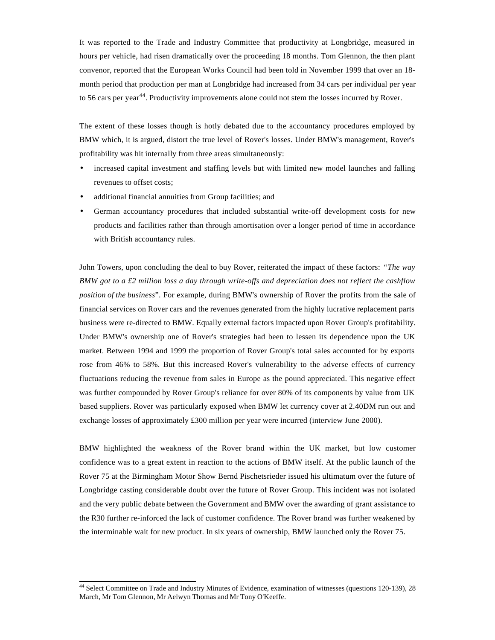It was reported to the Trade and Industry Committee that productivity at Longbridge, measured in hours per vehicle, had risen dramatically over the proceeding 18 months. Tom Glennon, the then plant convenor, reported that the European Works Council had been told in November 1999 that over an 18 month period that production per man at Longbridge had increased from 34 cars per individual per year to 56 cars per year<sup>44</sup>. Productivity improvements alone could not stem the losses incurred by Rover.

The extent of these losses though is hotly debated due to the accountancy procedures employed by BMW which, it is argued, distort the true level of Rover's losses. Under BMW's management, Rover's profitability was hit internally from three areas simultaneously:

- increased capital investment and staffing levels but with limited new model launches and falling revenues to offset costs;
- additional financial annuities from Group facilities; and
- German accountancy procedures that included substantial write-off development costs for new products and facilities rather than through amortisation over a longer period of time in accordance with British accountancy rules.

John Towers, upon concluding the deal to buy Rover, reiterated the impact of these factors: *"The way BMW got to a £2 million loss a day through write-offs and depreciation does not reflect the cashflow position of the business*". For example, during BMW's ownership of Rover the profits from the sale of financial services on Rover cars and the revenues generated from the highly lucrative replacement parts business were re-directed to BMW. Equally external factors impacted upon Rover Group's profitability. Under BMW's ownership one of Rover's strategies had been to lessen its dependence upon the UK market. Between 1994 and 1999 the proportion of Rover Group's total sales accounted for by exports rose from 46% to 58%. But this increased Rover's vulnerability to the adverse effects of currency fluctuations reducing the revenue from sales in Europe as the pound appreciated. This negative effect was further compounded by Rover Group's reliance for over 80% of its components by value from UK based suppliers. Rover was particularly exposed when BMW let currency cover at 2.40DM run out and exchange losses of approximately £300 million per year were incurred (interview June 2000).

BMW highlighted the weakness of the Rover brand within the UK market, but low customer confidence was to a great extent in reaction to the actions of BMW itself. At the public launch of the Rover 75 at the Birmingham Motor Show Bernd Pischetsrieder issued his ultimatum over the future of Longbridge casting considerable doubt over the future of Rover Group. This incident was not isolated and the very public debate between the Government and BMW over the awarding of grant assistance to the R30 further re-inforced the lack of customer confidence. The Rover brand was further weakened by the interminable wait for new product. In six years of ownership, BMW launched only the Rover 75.

<sup>&</sup>lt;sup>44</sup> Select Committee on Trade and Industry Minutes of Evidence, examination of witnesses (questions 120-139), 28 March, Mr Tom Glennon, Mr Aelwyn Thomas and Mr Tony O'Keeffe.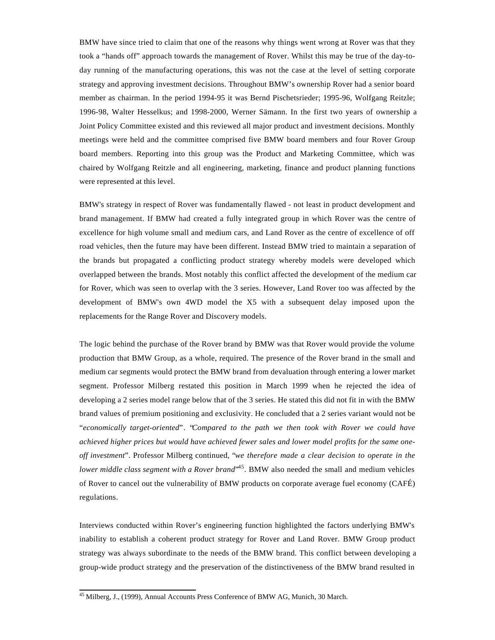BMW have since tried to claim that one of the reasons why things went wrong at Rover was that they took a "hands off" approach towards the management of Rover. Whilst this may be true of the day-today running of the manufacturing operations, this was not the case at the level of setting corporate strategy and approving investment decisions. Throughout BMW's ownership Rover had a senior board member as chairman. In the period 1994-95 it was Bernd Pischetsrieder; 1995-96, Wolfgang Reitzle; 1996-98, Walter Hesselkus; and 1998-2000, Werner Sämann. In the first two years of ownership a Joint Policy Committee existed and this reviewed all major product and investment decisions. Monthly meetings were held and the committee comprised five BMW board members and four Rover Group board members. Reporting into this group was the Product and Marketing Committee, which was chaired by Wolfgang Reitzle and all engineering, marketing, finance and product planning functions were represented at this level.

BMW's strategy in respect of Rover was fundamentally flawed - not least in product development and brand management. If BMW had created a fully integrated group in which Rover was the centre of excellence for high volume small and medium cars, and Land Rover as the centre of excellence of off road vehicles, then the future may have been different. Instead BMW tried to maintain a separation of the brands but propagated a conflicting product strategy whereby models were developed which overlapped between the brands. Most notably this conflict affected the development of the medium car for Rover, which was seen to overlap with the 3 series. However, Land Rover too was affected by the development of BMW's own 4WD model the X5 with a subsequent delay imposed upon the replacements for the Range Rover and Discovery models.

The logic behind the purchase of the Rover brand by BMW was that Rover would provide the volume production that BMW Group, as a whole, required. The presence of the Rover brand in the small and medium car segments would protect the BMW brand from devaluation through entering a lower market segment. Professor Milberg restated this position in March 1999 when he rejected the idea of developing a 2 series model range below that of the 3 series. He stated this did not fit in with the BMW brand values of premium positioning and exclusivity. He concluded that a 2 series variant would not be "*economically target-oriented*". "*Compared to the path we then took with Rover we could have achieved higher prices but would have achieved fewer sales and lower model profits for the same oneoff investment*". Professor Milberg continued, "*we therefore made a clear decision to operate in the* lower middle class segment with a Rover brand<sup>, 45</sup>. BMW also needed the small and medium vehicles of Rover to cancel out the vulnerability of BMW products on corporate average fuel economy (CAFÉ) regulations.

Interviews conducted within Rover's engineering function highlighted the factors underlying BMW's inability to establish a coherent product strategy for Rover and Land Rover. BMW Group product strategy was always subordinate to the needs of the BMW brand. This conflict between developing a group-wide product strategy and the preservation of the distinctiveness of the BMW brand resulted in

<sup>&</sup>lt;sup>45</sup> Milberg, J., (1999), Annual Accounts Press Conference of BMW AG, Munich, 30 March.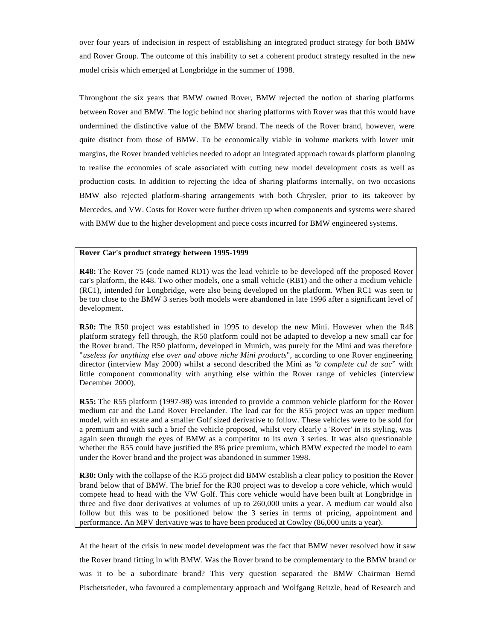over four years of indecision in respect of establishing an integrated product strategy for both BMW and Rover Group. The outcome of this inability to set a coherent product strategy resulted in the new model crisis which emerged at Longbridge in the summer of 1998.

Throughout the six years that BMW owned Rover, BMW rejected the notion of sharing platforms between Rover and BMW. The logic behind not sharing platforms with Rover was that this would have undermined the distinctive value of the BMW brand. The needs of the Rover brand, however, were quite distinct from those of BMW. To be economically viable in volume markets with lower unit margins, the Rover branded vehicles needed to adopt an integrated approach towards platform planning to realise the economies of scale associated with cutting new model development costs as well as production costs. In addition to rejecting the idea of sharing platforms internally, on two occasions BMW also rejected platform-sharing arrangements with both Chrysler, prior to its takeover by Mercedes, and VW. Costs for Rover were further driven up when components and systems were shared with BMW due to the higher development and piece costs incurred for BMW engineered systems.

#### **Rover Car's product strategy between 1995-1999**

**R48:** The Rover 75 (code named RD1) was the lead vehicle to be developed off the proposed Rover car's platform, the R48. Two other models, one a small vehicle (RB1) and the other a medium vehicle (RC1), intended for Longbridge, were also being developed on the platform. When RC1 was seen to be too close to the BMW 3 series both models were abandoned in late 1996 after a significant level of development.

**R50:** The R50 project was established in 1995 to develop the new Mini. However when the R48 platform strategy fell through, the R50 platform could not be adapted to develop a new small car for the Rover brand. The R50 platform, developed in Munich, was purely for the Mini and was therefore "*useless for anything else over and above niche Mini products*", according to one Rover engineering director (interview May 2000) whilst a second described the Mini as "*a complete cul de sac*" with little component commonality with anything else within the Rover range of vehicles (interview December 2000).

**R55:** The R55 platform (1997-98) was intended to provide a common vehicle platform for the Rover medium car and the Land Rover Freelander. The lead car for the R55 project was an upper medium model, with an estate and a smaller Golf sized derivative to follow. These vehicles were to be sold for a premium and with such a brief the vehicle proposed, whilst very clearly a 'Rover' in its styling, was again seen through the eyes of BMW as a competitor to its own 3 series. It was also questionable whether the R55 could have justified the 8% price premium, which BMW expected the model to earn under the Rover brand and the project was abandoned in summer 1998.

**R30:** Only with the collapse of the R55 project did BMW establish a clear policy to position the Rover brand below that of BMW. The brief for the R30 project was to develop a core vehicle, which would compete head to head with the VW Golf. This core vehicle would have been built at Longbridge in three and five door derivatives at volumes of up to 260,000 units a year. A medium car would also follow but this was to be positioned below the 3 series in terms of pricing, appointment and performance. An MPV derivative was to have been produced at Cowley (86,000 units a year).

At the heart of the crisis in new model development was the fact that BMW never resolved how it saw the Rover brand fitting in with BMW. Was the Rover brand to be complementary to the BMW brand or was it to be a subordinate brand? This very question separated the BMW Chairman Bernd Pischetsrieder, who favoured a complementary approach and Wolfgang Reitzle, head of Research and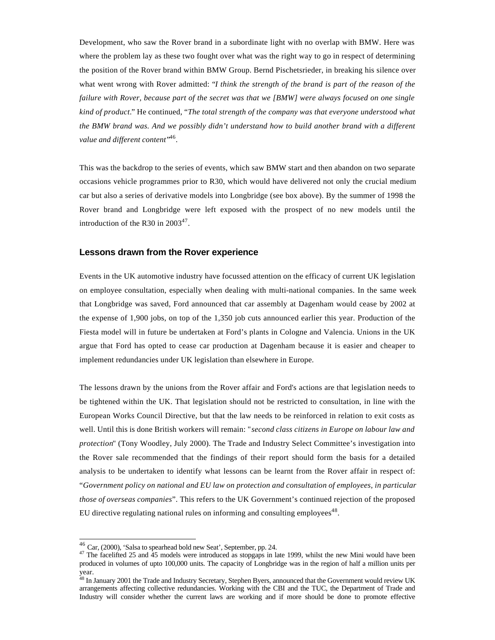Development, who saw the Rover brand in a subordinate light with no overlap with BMW. Here was where the problem lay as these two fought over what was the right way to go in respect of determining the position of the Rover brand within BMW Group. Bernd Pischetsrieder, in breaking his silence over what went wrong with Rover admitted: "*I think the strength of the brand is part of the reason of the failure with Rover, because part of the secret was that we [BMW] were always focused on one single kind of product.*" He continued, "*The total strength of the company was that everyone understood what the BMW brand was. And we possibly didn't understand how to build another brand with a different* value and different content'<sup>,46</sup>.

This was the backdrop to the series of events, which saw BMW start and then abandon on two separate occasions vehicle programmes prior to R30, which would have delivered not only the crucial medium car but also a series of derivative models into Longbridge (see box above). By the summer of 1998 the Rover brand and Longbridge were left exposed with the prospect of no new models until the introduction of the R30 in  $2003^{47}$ .

#### **Lessons drawn from the Rover experience**

Events in the UK automotive industry have focussed attention on the efficacy of current UK legislation on employee consultation, especially when dealing with multi-national companies. In the same week that Longbridge was saved, Ford announced that car assembly at Dagenham would cease by 2002 at the expense of 1,900 jobs, on top of the 1,350 job cuts announced earlier this year. Production of the Fiesta model will in future be undertaken at Ford's plants in Cologne and Valencia. Unions in the UK argue that Ford has opted to cease car production at Dagenham because it is easier and cheaper to implement redundancies under UK legislation than elsewhere in Europe.

The lessons drawn by the unions from the Rover affair and Ford's actions are that legislation needs to be tightened within the UK. That legislation should not be restricted to consultation, in line with the European Works Council Directive, but that the law needs to be reinforced in relation to exit costs as well. Until this is done British workers will remain: "*second class citizens in Europe on labour law and protection*" (Tony Woodley, July 2000). The Trade and Industry Select Committee's investigation into the Rover sale recommended that the findings of their report should form the basis for a detailed analysis to be undertaken to identify what lessons can be learnt from the Rover affair in respect of: "*Government policy on national and EU law on protection and consultation of employees, in particular those of overseas companies*". This refers to the UK Government's continued rejection of the proposed EU directive regulating national rules on informing and consulting employees<sup>48</sup>.

 $46$  Car, (2000), 'Salsa to spearhead bold new Seat', September, pp. 24.

<sup>&</sup>lt;sup>47</sup> The facelifted 25 and <sup>45</sup> models were introduced as stopgaps in late 1999, whilst the new Mini would have been produced in volumes of upto 100,000 units. The capacity of Longbridge was in the region of half a million units per year.

 $^{48}$  In January 2001 the Trade and Industry Secretary, Stephen Byers, announced that the Government would review UK arrangements affecting collective redundancies. Working with the CBI and the TUC, the Department of Trade and Industry will consider whether the current laws are working and if more should be done to promote effective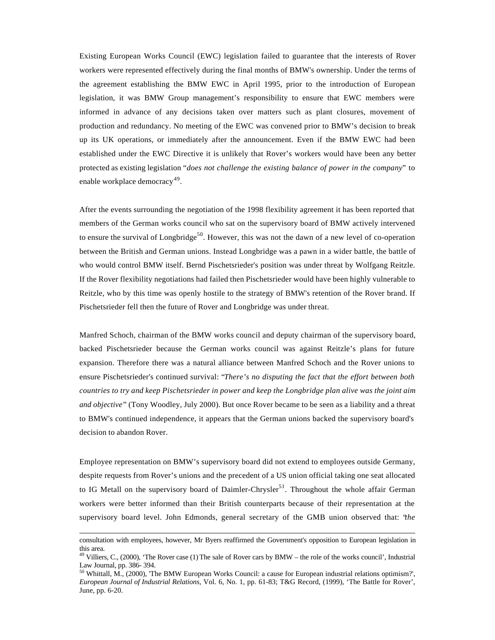Existing European Works Council (EWC) legislation failed to guarantee that the interests of Rover workers were represented effectively during the final months of BMW's ownership. Under the terms of the agreement establishing the BMW EWC in April 1995, prior to the introduction of European legislation, it was BMW Group management's responsibility to ensure that EWC members were informed in advance of any decisions taken over matters such as plant closures, movement of production and redundancy. No meeting of the EWC was convened prior to BMW's decision to break up its UK operations, or immediately after the announcement. Even if the BMW EWC had been established under the EWC Directive it is unlikely that Rover's workers would have been any better protected as existing legislation "*does not challenge the existing balance of power in the company*" to enable workplace democracy<sup>49</sup>.

After the events surrounding the negotiation of the 1998 flexibility agreement it has been reported that members of the German works council who sat on the supervisory board of BMW actively intervened to ensure the survival of Longbridge<sup>50</sup>. However, this was not the dawn of a new level of co-operation between the British and German unions. Instead Longbridge was a pawn in a wider battle, the battle of who would control BMW itself. Bernd Pischetsrieder's position was under threat by Wolfgang Reitzle. If the Rover flexibility negotiations had failed then Pischetsrieder would have been highly vulnerable to Reitzle, who by this time was openly hostile to the strategy of BMW's retention of the Rover brand. If Pischetsrieder fell then the future of Rover and Longbridge was under threat.

Manfred Schoch, chairman of the BMW works council and deputy chairman of the supervisory board, backed Pischetsrieder because the German works council was against Reitzle's plans for future expansion. Therefore there was a natural alliance between Manfred Schoch and the Rover unions to ensure Pischetsrieder's continued survival: "*There's no disputing the fact that the effort between both countries to try and keep Pischetsrieder in power and keep the Longbridge plan alive was the joint aim and objective*" (Tony Woodley, July 2000). But once Rover became to be seen as a liability and a threat to BMW's continued independence, it appears that the German unions backed the supervisory board's decision to abandon Rover.

Employee representation on BMW's supervisory board did not extend to employees outside Germany, despite requests from Rover's unions and the precedent of a US union official taking one seat allocated to IG Metall on the supervisory board of Daimler-Chrysler<sup>51</sup>. Throughout the whole affair German workers were better informed than their British counterparts because of their representation at the supervisory board level. John Edmonds, general secretary of the GMB union observed that: "*the*

consultation with employees, however, Mr Byers reaffirmed the Government's opposition to European legislation in this area.

 $49$  Villiers, C., (2000), 'The Rover case (1) The sale of Rover cars by BMW – the role of the works council', Industrial Law Journal, pp. 386- 394.

<sup>50</sup> Whittall, M., (2000), 'The BMW European Works Council: a cause for European industrial relations optimism?', *European Journal of Industrial Relations*, Vol. 6, No. 1, pp. 61-83; T&G Record, (1999), 'The Battle for Rover', June, pp. 6-20.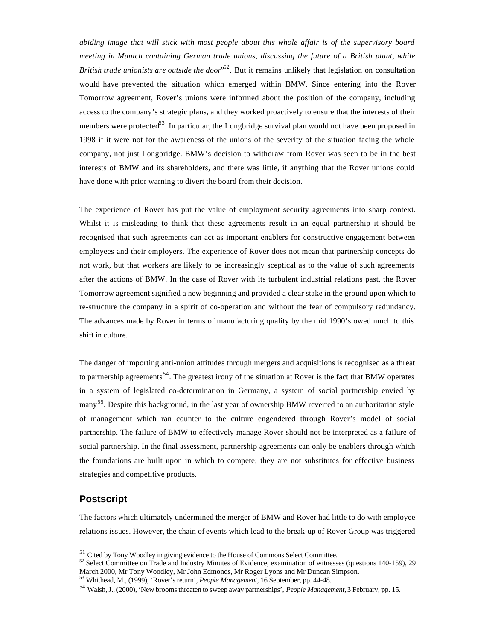*abiding image that will stick with most people about this whole affair is of the supervisory board meeting in Munich containing German trade unions, discussing the future of a British plant, while* British trade unionists are outside the door<sup>52</sup>. But it remains unlikely that legislation on consultation would have prevented the situation which emerged within BMW. Since entering into the Rover Tomorrow agreement, Rover's unions were informed about the position of the company, including access to the company's strategic plans, and they worked proactively to ensure that the interests of their members were protected<sup>53</sup>. In particular, the Longbridge survival plan would not have been proposed in 1998 if it were not for the awareness of the unions of the severity of the situation facing the whole company, not just Longbridge. BMW's decision to withdraw from Rover was seen to be in the best interests of BMW and its shareholders, and there was little, if anything that the Rover unions could have done with prior warning to divert the board from their decision.

The experience of Rover has put the value of employment security agreements into sharp context. Whilst it is misleading to think that these agreements result in an equal partnership it should be recognised that such agreements can act as important enablers for constructive engagement between employees and their employers. The experience of Rover does not mean that partnership concepts do not work, but that workers are likely to be increasingly sceptical as to the value of such agreements after the actions of BMW. In the case of Rover with its turbulent industrial relations past, the Rover Tomorrow agreement signified a new beginning and provided a clear stake in the ground upon which to re-structure the company in a spirit of co-operation and without the fear of compulsory redundancy. The advances made by Rover in terms of manufacturing quality by the mid 1990's owed much to this shift in culture.

The danger of importing anti-union attitudes through mergers and acquisitions is recognised as a threat to partnership agreements<sup>54</sup>. The greatest irony of the situation at Rover is the fact that BMW operates in a system of legislated co-determination in Germany, a system of social partnership envied by many<sup>55</sup>. Despite this background, in the last year of ownership BMW reverted to an authoritarian style of management which ran counter to the culture engendered through Rover's model of social partnership. The failure of BMW to effectively manage Rover should not be interpreted as a failure of social partnership. In the final assessment, partnership agreements can only be enablers through which the foundations are built upon in which to compete; they are not substitutes for effective business strategies and competitive products.

#### **Postscript**

l

The factors which ultimately undermined the merger of BMW and Rover had little to do with employee relations issues. However, the chain of events which lead to the break-up of Rover Group was triggered

 $51$  Cited by Tony Woodley in giving evidence to the House of Commons Select Committee.

<sup>52</sup> Select Committee on Trade and Industry Minutes of Evidence, examination of witnesses (questions 140-159), 29 March 2000, Mr Tony Woodley, Mr John Edmonds, Mr Roger Lyons and Mr Duncan Simpson.

<sup>53</sup> Whithead, M., (1999), 'Rover's return', *People Management*, 16 September, pp. 44-48.

<sup>54</sup> Walsh, J., (2000), 'New brooms threaten to sweep away partnerships', *People Management,* 3 February, pp. 15.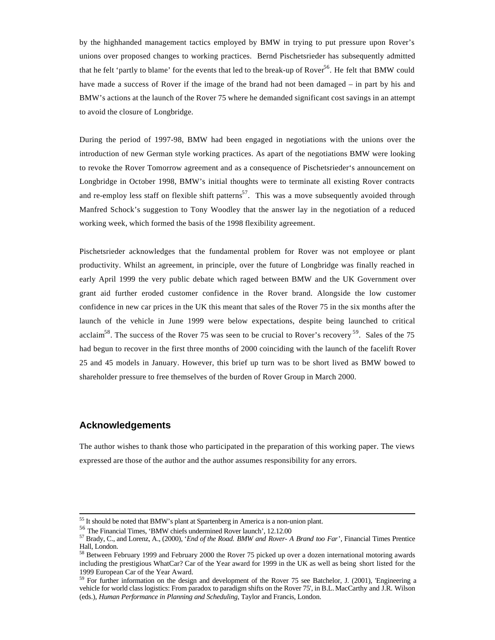by the highhanded management tactics employed by BMW in trying to put pressure upon Rover's unions over proposed changes to working practices. Bernd Pischetsrieder has subsequently admitted that he felt 'partly to blame' for the events that led to the break-up of Rover<sup>56</sup>. He felt that BMW could have made a success of Rover if the image of the brand had not been damaged – in part by his and BMW's actions at the launch of the Rover 75 where he demanded significant cost savings in an attempt to avoid the closure of Longbridge.

During the period of 1997-98, BMW had been engaged in negotiations with the unions over the introduction of new German style working practices. As apart of the negotiations BMW were looking to revoke the Rover Tomorrow agreement and as a consequence of Pischetsrieder's announcement on Longbridge in October 1998, BMW's initial thoughts were to terminate all existing Rover contracts and re-employ less staff on flexible shift patterns<sup>57</sup>. This was a move subsequently avoided through Manfred Schock's suggestion to Tony Woodley that the answer lay in the negotiation of a reduced working week, which formed the basis of the 1998 flexibility agreement.

Pischetsrieder acknowledges that the fundamental problem for Rover was not employee or plant productivity. Whilst an agreement, in principle, over the future of Longbridge was finally reached in early April 1999 the very public debate which raged between BMW and the UK Government over grant aid further eroded customer confidence in the Rover brand. Alongside the low customer confidence in new car prices in the UK this meant that sales of the Rover 75 in the six months after the launch of the vehicle in June 1999 were below expectations, despite being launched to critical acclaim<sup>58</sup>. The success of the Rover 75 was seen to be crucial to Rover's recovery  $^{59}$ . Sales of the 75 had begun to recover in the first three months of 2000 coinciding with the launch of the facelift Rover 25 and 45 models in January. However, this brief up turn was to be short lived as BMW bowed to shareholder pressure to free themselves of the burden of Rover Group in March 2000.

#### **Acknowledgements**

l

The author wishes to thank those who participated in the preparation of this working paper. The views expressed are those of the author and the author assumes responsibility for any errors.

<sup>&</sup>lt;sup>55</sup> It should be noted that BMW's plant at Spartenberg in America is a non-union plant.

<sup>56</sup> The Financial Times, 'BMW chiefs undermined Rover launch', 12.12.00

<sup>57</sup> Brady, C., and Lorenz, A., (2000), '*End of the Road. BMW and Rover- A Brand too Far*', Financial Times Prentice Hall, London.

<sup>&</sup>lt;sup>58</sup> Between February 1999 and February 2000 the Rover 75 picked up over a dozen international motoring awards including the prestigious WhatCar? Car of the Year award for 1999 in the UK as well as being short listed for the 1999 European Car of the Year Award.

 $59$  For further information on the design and development of the Rover 75 see Batchelor, J. (2001), 'Engineering a vehicle for world class logistics: From paradox to paradigm shifts on the Rover 75', in B.L. MacCarthy and J.R. Wilson (eds.), *Human Performance in Planning and Scheduling*, Taylor and Francis, London.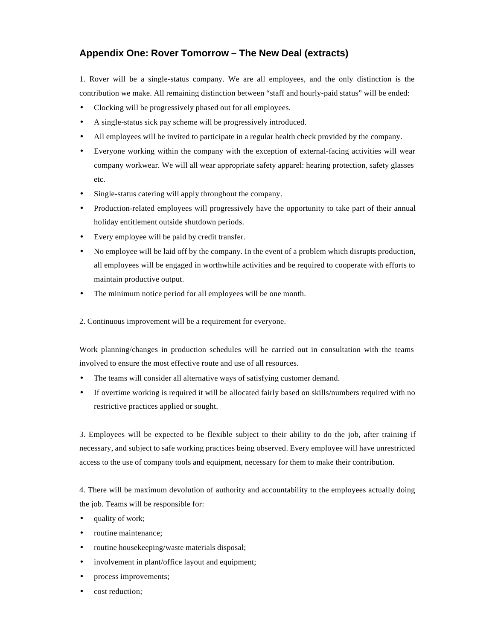## **Appendix One: Rover Tomorrow – The New Deal (extracts)**

1. Rover will be a single-status company. We are all employees, and the only distinction is the contribution we make. All remaining distinction between "staff and hourly-paid status" will be ended:

- Clocking will be progressively phased out for all employees.
- A single-status sick pay scheme will be progressively introduced.
- All employees will be invited to participate in a regular health check provided by the company.
- Everyone working within the company with the exception of external-facing activities will wear company workwear. We will all wear appropriate safety apparel: hearing protection, safety glasses etc.
- Single-status catering will apply throughout the company.
- Production-related employees will progressively have the opportunity to take part of their annual holiday entitlement outside shutdown periods.
- Every employee will be paid by credit transfer.
- No employee will be laid off by the company. In the event of a problem which disrupts production, all employees will be engaged in worthwhile activities and be required to cooperate with efforts to maintain productive output.
- The minimum notice period for all employees will be one month.
- 2. Continuous improvement will be a requirement for everyone.

Work planning/changes in production schedules will be carried out in consultation with the teams involved to ensure the most effective route and use of all resources.

- The teams will consider all alternative ways of satisfying customer demand.
- If overtime working is required it will be allocated fairly based on skills/numbers required with no restrictive practices applied or sought.

3. Employees will be expected to be flexible subject to their ability to do the job, after training if necessary, and subject to safe working practices being observed. Every employee will have unrestricted access to the use of company tools and equipment, necessary for them to make their contribution.

4. There will be maximum devolution of authority and accountability to the employees actually doing the job. Teams will be responsible for:

- quality of work;
- routine maintenance;
- routine housekeeping/waste materials disposal;
- involvement in plant/office layout and equipment;
- process improvements;
- cost reduction: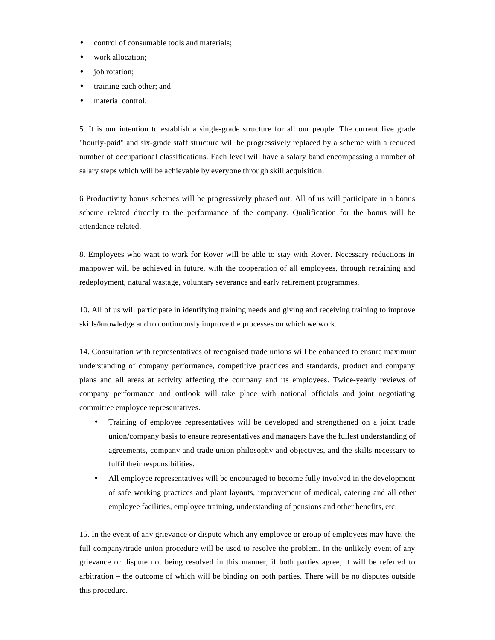- control of consumable tools and materials;
- work allocation;
- job rotation;
- training each other; and
- material control.

5. It is our intention to establish a single-grade structure for all our people. The current five grade "hourly-paid" and six-grade staff structure will be progressively replaced by a scheme with a reduced number of occupational classifications. Each level will have a salary band encompassing a number of salary steps which will be achievable by everyone through skill acquisition.

6 Productivity bonus schemes will be progressively phased out. All of us will participate in a bonus scheme related directly to the performance of the company. Qualification for the bonus will be attendance-related.

8. Employees who want to work for Rover will be able to stay with Rover. Necessary reductions in manpower will be achieved in future, with the cooperation of all employees, through retraining and redeployment, natural wastage, voluntary severance and early retirement programmes.

10. All of us will participate in identifying training needs and giving and receiving training to improve skills/knowledge and to continuously improve the processes on which we work.

14. Consultation with representatives of recognised trade unions will be enhanced to ensure maximum understanding of company performance, competitive practices and standards, product and company plans and all areas at activity affecting the company and its employees. Twice-yearly reviews of company performance and outlook will take place with national officials and joint negotiating committee employee representatives.

- Training of employee representatives will be developed and strengthened on a joint trade union/company basis to ensure representatives and managers have the fullest understanding of agreements, company and trade union philosophy and objectives, and the skills necessary to fulfil their responsibilities.
- All employee representatives will be encouraged to become fully involved in the development of safe working practices and plant layouts, improvement of medical, catering and all other employee facilities, employee training, understanding of pensions and other benefits, etc.

15. In the event of any grievance or dispute which any employee or group of employees may have, the full company/trade union procedure will be used to resolve the problem. In the unlikely event of any grievance or dispute not being resolved in this manner, if both parties agree, it will be referred to arbitration – the outcome of which will be binding on both parties. There will be no disputes outside this procedure.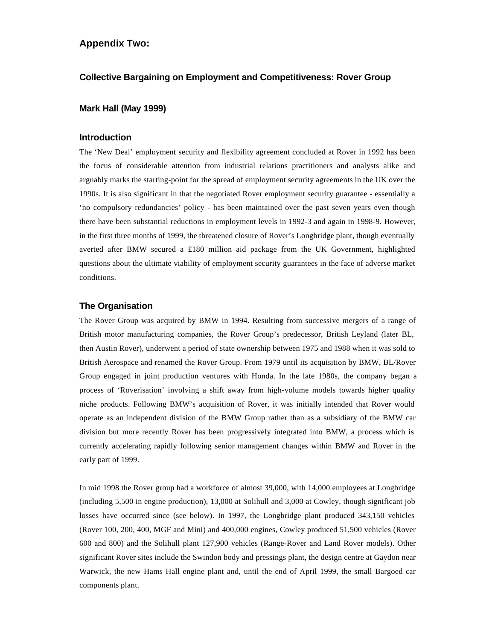#### **Appendix Two:**

#### **Collective Bargaining on Employment and Competitiveness: Rover Group**

#### **Mark Hall (May 1999)**

#### **Introduction**

The 'New Deal' employment security and flexibility agreement concluded at Rover in 1992 has been the focus of considerable attention from industrial relations practitioners and analysts alike and arguably marks the starting-point for the spread of employment security agreements in the UK over the 1990s. It is also significant in that the negotiated Rover employment security guarantee - essentially a 'no compulsory redundancies' policy - has been maintained over the past seven years even though there have been substantial reductions in employment levels in 1992-3 and again in 1998-9. However, in the first three months of 1999, the threatened closure of Rover's Longbridge plant, though eventually averted after BMW secured a £180 million aid package from the UK Government, highlighted questions about the ultimate viability of employment security guarantees in the face of adverse market conditions.

#### **The Organisation**

The Rover Group was acquired by BMW in 1994. Resulting from successive mergers of a range of British motor manufacturing companies, the Rover Group's predecessor, British Leyland (later BL, then Austin Rover), underwent a period of state ownership between 1975 and 1988 when it was sold to British Aerospace and renamed the Rover Group. From 1979 until its acquisition by BMW, BL/Rover Group engaged in joint production ventures with Honda. In the late 1980s, the company began a process of 'Roverisation' involving a shift away from high-volume models towards higher quality niche products. Following BMW's acquisition of Rover, it was initially intended that Rover would operate as an independent division of the BMW Group rather than as a subsidiary of the BMW car division but more recently Rover has been progressively integrated into BMW, a process which is currently accelerating rapidly following senior management changes within BMW and Rover in the early part of 1999.

In mid 1998 the Rover group had a workforce of almost 39,000, with 14,000 employees at Longbridge (including 5,500 in engine production), 13,000 at Solihull and 3,000 at Cowley, though significant job losses have occurred since (see below). In 1997, the Longbridge plant produced 343,150 vehicles (Rover 100, 200, 400, MGF and Mini) and 400,000 engines, Cowley produced 51,500 vehicles (Rover 600 and 800) and the Solihull plant 127,900 vehicles (Range-Rover and Land Rover models). Other significant Rover sites include the Swindon body and pressings plant, the design centre at Gaydon near Warwick, the new Hams Hall engine plant and, until the end of April 1999, the small Bargoed car components plant.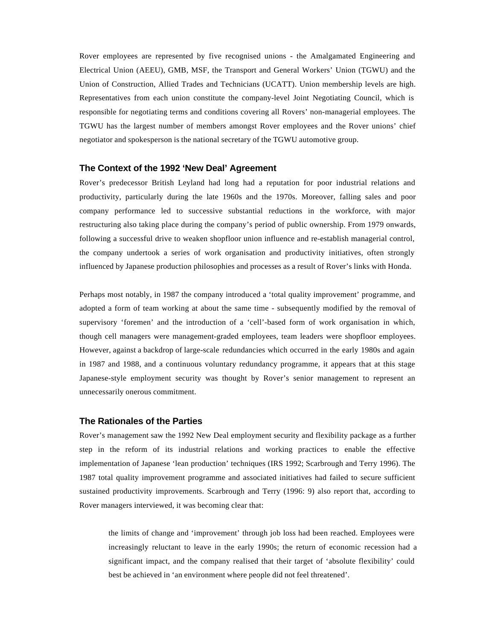Rover employees are represented by five recognised unions - the Amalgamated Engineering and Electrical Union (AEEU), GMB, MSF, the Transport and General Workers' Union (TGWU) and the Union of Construction, Allied Trades and Technicians (UCATT). Union membership levels are high. Representatives from each union constitute the company-level Joint Negotiating Council, which is responsible for negotiating terms and conditions covering all Rovers' non-managerial employees. The TGWU has the largest number of members amongst Rover employees and the Rover unions' chief negotiator and spokesperson is the national secretary of the TGWU automotive group.

#### **The Context of the 1992 'New Deal' Agreement**

Rover's predecessor British Leyland had long had a reputation for poor industrial relations and productivity, particularly during the late 1960s and the 1970s. Moreover, falling sales and poor company performance led to successive substantial reductions in the workforce, with major restructuring also taking place during the company's period of public ownership. From 1979 onwards, following a successful drive to weaken shopfloor union influence and re-establish managerial control, the company undertook a series of work organisation and productivity initiatives, often strongly influenced by Japanese production philosophies and processes as a result of Rover's links with Honda.

Perhaps most notably, in 1987 the company introduced a 'total quality improvement' programme, and adopted a form of team working at about the same time - subsequently modified by the removal of supervisory 'foremen' and the introduction of a 'cell'-based form of work organisation in which, though cell managers were management-graded employees, team leaders were shopfloor employees. However, against a backdrop of large-scale redundancies which occurred in the early 1980s and again in 1987 and 1988, and a continuous voluntary redundancy programme, it appears that at this stage Japanese-style employment security was thought by Rover's senior management to represent an unnecessarily onerous commitment.

#### **The Rationales of the Parties**

Rover's management saw the 1992 New Deal employment security and flexibility package as a further step in the reform of its industrial relations and working practices to enable the effective implementation of Japanese 'lean production' techniques (IRS 1992; Scarbrough and Terry 1996). The 1987 total quality improvement programme and associated initiatives had failed to secure sufficient sustained productivity improvements. Scarbrough and Terry (1996: 9) also report that, according to Rover managers interviewed, it was becoming clear that:

the limits of change and 'improvement' through job loss had been reached. Employees were increasingly reluctant to leave in the early 1990s; the return of economic recession had a significant impact, and the company realised that their target of 'absolute flexibility' could best be achieved in 'an environment where people did not feel threatened'.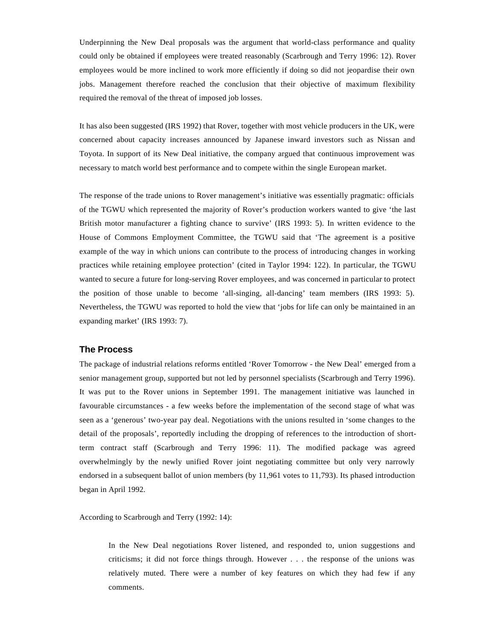Underpinning the New Deal proposals was the argument that world-class performance and quality could only be obtained if employees were treated reasonably (Scarbrough and Terry 1996: 12). Rover employees would be more inclined to work more efficiently if doing so did not jeopardise their own jobs. Management therefore reached the conclusion that their objective of maximum flexibility required the removal of the threat of imposed job losses.

It has also been suggested (IRS 1992) that Rover, together with most vehicle producers in the UK, were concerned about capacity increases announced by Japanese inward investors such as Nissan and Toyota. In support of its New Deal initiative, the company argued that continuous improvement was necessary to match world best performance and to compete within the single European market.

The response of the trade unions to Rover management's initiative was essentially pragmatic: officials of the TGWU which represented the majority of Rover's production workers wanted to give 'the last British motor manufacturer a fighting chance to survive' (IRS 1993: 5). In written evidence to the House of Commons Employment Committee, the TGWU said that 'The agreement is a positive example of the way in which unions can contribute to the process of introducing changes in working practices while retaining employee protection' (cited in Taylor 1994: 122). In particular, the TGWU wanted to secure a future for long-serving Rover employees, and was concerned in particular to protect the position of those unable to become 'all-singing, all-dancing' team members (IRS 1993: 5). Nevertheless, the TGWU was reported to hold the view that 'jobs for life can only be maintained in an expanding market' (IRS 1993: 7).

#### **The Process**

The package of industrial relations reforms entitled 'Rover Tomorrow - the New Deal' emerged from a senior management group, supported but not led by personnel specialists (Scarbrough and Terry 1996). It was put to the Rover unions in September 1991. The management initiative was launched in favourable circumstances - a few weeks before the implementation of the second stage of what was seen as a 'generous' two-year pay deal. Negotiations with the unions resulted in 'some changes to the detail of the proposals', reportedly including the dropping of references to the introduction of shortterm contract staff (Scarbrough and Terry 1996: 11). The modified package was agreed overwhelmingly by the newly unified Rover joint negotiating committee but only very narrowly endorsed in a subsequent ballot of union members (by 11,961 votes to 11,793). Its phased introduction began in April 1992.

According to Scarbrough and Terry (1992: 14):

In the New Deal negotiations Rover listened, and responded to, union suggestions and criticisms; it did not force things through. However . . . the response of the unions was relatively muted. There were a number of key features on which they had few if any comments.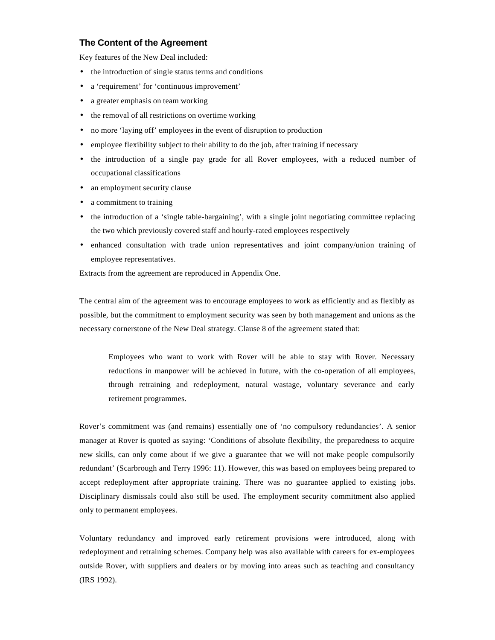#### **The Content of the Agreement**

Key features of the New Deal included:

- the introduction of single status terms and conditions
- a 'requirement' for 'continuous improvement'
- a greater emphasis on team working
- the removal of all restrictions on overtime working
- no more 'laying off' employees in the event of disruption to production
- employee flexibility subject to their ability to do the job, after training if necessary
- the introduction of a single pay grade for all Rover employees, with a reduced number of occupational classifications
- an employment security clause
- a commitment to training
- the introduction of a 'single table-bargaining', with a single joint negotiating committee replacing the two which previously covered staff and hourly-rated employees respectively
- enhanced consultation with trade union representatives and joint company/union training of employee representatives.

Extracts from the agreement are reproduced in Appendix One.

The central aim of the agreement was to encourage employees to work as efficiently and as flexibly as possible, but the commitment to employment security was seen by both management and unions as the necessary cornerstone of the New Deal strategy. Clause 8 of the agreement stated that:

Employees who want to work with Rover will be able to stay with Rover. Necessary reductions in manpower will be achieved in future, with the co-operation of all employees, through retraining and redeployment, natural wastage, voluntary severance and early retirement programmes.

Rover's commitment was (and remains) essentially one of 'no compulsory redundancies'. A senior manager at Rover is quoted as saying: 'Conditions of absolute flexibility, the preparedness to acquire new skills, can only come about if we give a guarantee that we will not make people compulsorily redundant' (Scarbrough and Terry 1996: 11). However, this was based on employees being prepared to accept redeployment after appropriate training. There was no guarantee applied to existing jobs. Disciplinary dismissals could also still be used. The employment security commitment also applied only to permanent employees.

Voluntary redundancy and improved early retirement provisions were introduced, along with redeployment and retraining schemes. Company help was also available with careers for ex-employees outside Rover, with suppliers and dealers or by moving into areas such as teaching and consultancy (IRS 1992).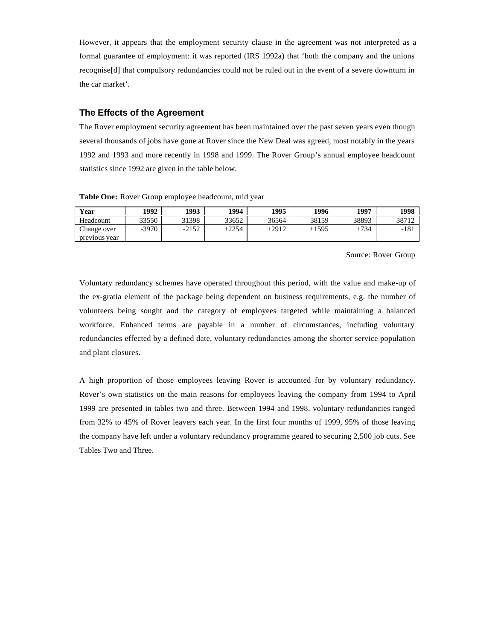However, it appears that the employment security clause in the agreement was not interpreted as a formal guarantee of employment: it was reported (IRS 1992a) that 'both the company and the unions recognise[d] that compulsory redundancies could not be ruled out in the event of a severe downturn in the car market'.

#### **The Effects of the Agreement**

The Rover employment security agreement has been maintained over the past seven years even though several thousands of jobs have gone at Rover since the New Deal was agreed, most notably in the years 1992 and 1993 and more recently in 1998 and 1999. The Rover Group's annual employee headcount statistics since 1992 are given in the table below.

**Table One:** Rover Group employee headcount, mid year

| Year          | 1992    | 1993    | 1994    | 1995    | 1996    | 1997   | 1998  |
|---------------|---------|---------|---------|---------|---------|--------|-------|
| Headcount     | 33550   | 31398   | 33652   | 36564   | 38159   | 38893  | 38712 |
| Change over   | $-3970$ | $-2152$ | $+2254$ | $+2912$ | $+1595$ | $+734$ | -181  |
| previous year |         |         |         |         |         |        |       |

Source: Rover Group

Voluntary redundancy schemes have operated throughout this period, with the value and make-up of the ex-gratia element of the package being dependent on business requirements, e.g. the number of volunteers being sought and the category of employees targeted while maintaining a balanced workforce. Enhanced terms are payable in a number of circumstances, including voluntary redundancies effected by a defined date, voluntary redundancies among the shorter service population and plant closures.

A high proportion of those employees leaving Rover is accounted for by voluntary redundancy. Rover's own statistics on the main reasons for employees leaving the company from 1994 to April 1999 are presented in tables two and three. Between 1994 and 1998, voluntary redundancies ranged from 32% to 45% of Rover leavers each year. In the first four months of 1999, 95% of those leaving the company have left under a voluntary redundancy programme geared to securing 2,500 job cuts. See Tables Two and Three.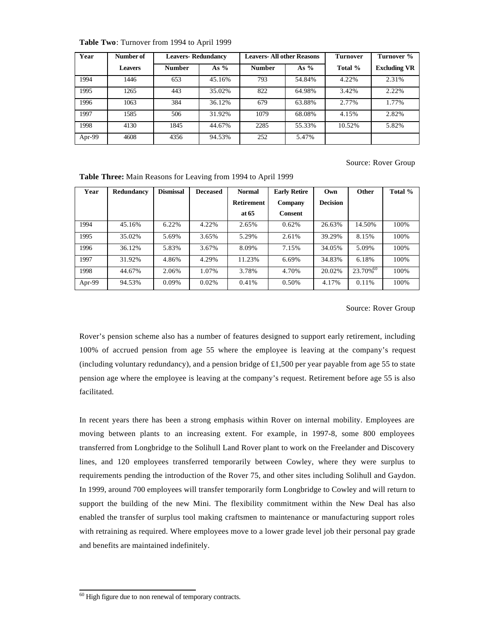| Year   | Number of      | <b>Leavers-Redundancy</b> |        | <b>Leavers-All other Reasons</b> |        | <b>Turnover</b> | Turnover %          |
|--------|----------------|---------------------------|--------|----------------------------------|--------|-----------------|---------------------|
|        | <b>Leavers</b> | <b>Number</b>             | As $%$ | <b>Number</b>                    | As $%$ | Total %         | <b>Excluding VR</b> |
| 1994   | 1446           | 653                       | 45.16% | 793                              | 54.84% | 4.22%           | 2.31%               |
| 1995   | 1265           | 443                       | 35.02% | 822                              | 64.98% | 3.42%           | 2.22%               |
| 1996   | 1063           | 384                       | 36.12% | 679                              | 63.88% | 2.77%           | 1.77%               |
| 1997   | 1585           | 506                       | 31.92% | 1079                             | 68.08% | 4.15%           | 2.82%               |
| 1998   | 4130           | 1845                      | 44.67% | 2285                             | 55.33% | 10.52%          | 5.82%               |
| Apr-99 | 4608           | 4356                      | 94.53% | 252                              | 5.47%  |                 |                     |

**Table Two**: Turnover from 1994 to April 1999

Source: Rover Group

| Year   | Redundancy | <b>Dismissal</b> | <b>Deceased</b> | <b>Normal</b>     | <b>Early Retire</b> | Own             | Other                | Total % |
|--------|------------|------------------|-----------------|-------------------|---------------------|-----------------|----------------------|---------|
|        |            |                  |                 | <b>Retirement</b> | Company             | <b>Decision</b> |                      |         |
|        |            |                  |                 | at 65             | <b>Consent</b>      |                 |                      |         |
| 1994   | 45.16%     | 6.22%            | 4.22%           | 2.65%             | 0.62%               | 26.63%          | 14.50%               | 100%    |
| 1995   | 35.02%     | 5.69%            | 3.65%           | 5.29%             | 2.61%               | 39.29%          | 8.15%                | 100%    |
| 1996   | 36.12%     | 5.83%            | 3.67%           | 8.09%             | 7.15%               | 34.05%          | 5.09%                | 100%    |
| 1997   | 31.92%     | 4.86%            | 4.29%           | 11.23%            | 6.69%               | 34.83%          | 6.18%                | 100%    |
| 1998   | 44.67%     | 2.06%            | 1.07%           | 3.78%             | 4.70%               | 20.02%          | 23.70% <sup>60</sup> | 100%    |
| Apr-99 | 94.53%     | 0.09%            | 0.02%           | 0.41%             | 0.50%               | 4.17%           | 0.11%                | 100%    |

**Table Three:** Main Reasons for Leaving from 1994 to April 1999

Source: Rover Group

Rover's pension scheme also has a number of features designed to support early retirement, including 100% of accrued pension from age 55 where the employee is leaving at the company's request (including voluntary redundancy), and a pension bridge of £1,500 per year payable from age 55 to state pension age where the employee is leaving at the company's request. Retirement before age 55 is also facilitated.

In recent years there has been a strong emphasis within Rover on internal mobility. Employees are moving between plants to an increasing extent. For example, in 1997-8, some 800 employees transferred from Longbridge to the Solihull Land Rover plant to work on the Freelander and Discovery lines, and 120 employees transferred temporarily between Cowley, where they were surplus to requirements pending the introduction of the Rover 75, and other sites including Solihull and Gaydon. In 1999, around 700 employees will transfer temporarily form Longbridge to Cowley and will return to support the building of the new Mini. The flexibility commitment within the New Deal has also enabled the transfer of surplus tool making craftsmen to maintenance or manufacturing support roles with retraining as required. Where employees move to a lower grade level job their personal pay grade and benefits are maintained indefinitely.

 $60$  High figure due to non renewal of temporary contracts.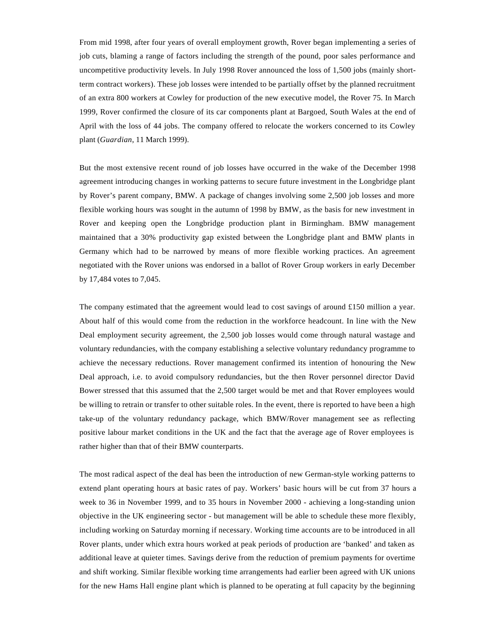From mid 1998, after four years of overall employment growth, Rover began implementing a series of job cuts, blaming a range of factors including the strength of the pound, poor sales performance and uncompetitive productivity levels. In July 1998 Rover announced the loss of 1,500 jobs (mainly shortterm contract workers). These job losses were intended to be partially offset by the planned recruitment of an extra 800 workers at Cowley for production of the new executive model, the Rover 75. In March 1999, Rover confirmed the closure of its car components plant at Bargoed, South Wales at the end of April with the loss of 44 jobs. The company offered to relocate the workers concerned to its Cowley plant (*Guardian*, 11 March 1999).

But the most extensive recent round of job losses have occurred in the wake of the December 1998 agreement introducing changes in working patterns to secure future investment in the Longbridge plant by Rover's parent company, BMW. A package of changes involving some 2,500 job losses and more flexible working hours was sought in the autumn of 1998 by BMW, as the basis for new investment in Rover and keeping open the Longbridge production plant in Birmingham. BMW management maintained that a 30% productivity gap existed between the Longbridge plant and BMW plants in Germany which had to be narrowed by means of more flexible working practices. An agreement negotiated with the Rover unions was endorsed in a ballot of Rover Group workers in early December by 17,484 votes to 7,045.

The company estimated that the agreement would lead to cost savings of around £150 million a year. About half of this would come from the reduction in the workforce headcount. In line with the New Deal employment security agreement, the 2,500 job losses would come through natural wastage and voluntary redundancies, with the company establishing a selective voluntary redundancy programme to achieve the necessary reductions. Rover management confirmed its intention of honouring the New Deal approach, i.e. to avoid compulsory redundancies, but the then Rover personnel director David Bower stressed that this assumed that the 2,500 target would be met and that Rover employees would be willing to retrain or transfer to other suitable roles. In the event, there is reported to have been a high take-up of the voluntary redundancy package, which BMW/Rover management see as reflecting positive labour market conditions in the UK and the fact that the average age of Rover employees is rather higher than that of their BMW counterparts.

The most radical aspect of the deal has been the introduction of new German-style working patterns to extend plant operating hours at basic rates of pay. Workers' basic hours will be cut from 37 hours a week to 36 in November 1999, and to 35 hours in November 2000 - achieving a long-standing union objective in the UK engineering sector - but management will be able to schedule these more flexibly, including working on Saturday morning if necessary. Working time accounts are to be introduced in all Rover plants, under which extra hours worked at peak periods of production are 'banked' and taken as additional leave at quieter times. Savings derive from the reduction of premium payments for overtime and shift working. Similar flexible working time arrangements had earlier been agreed with UK unions for the new Hams Hall engine plant which is planned to be operating at full capacity by the beginning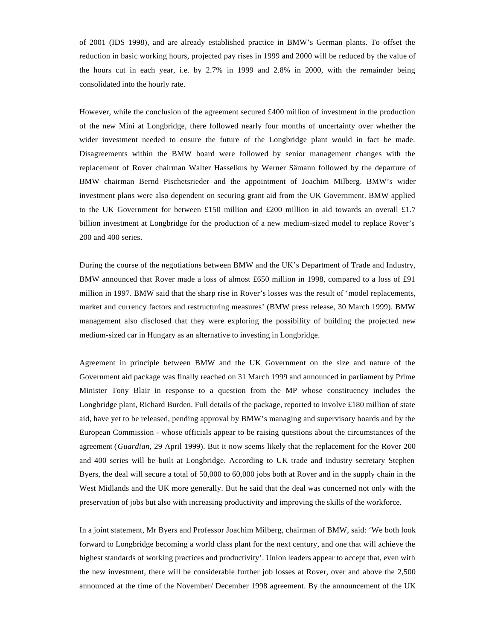of 2001 (IDS 1998), and are already established practice in BMW's German plants. To offset the reduction in basic working hours, projected pay rises in 1999 and 2000 will be reduced by the value of the hours cut in each year, i.e. by 2.7% in 1999 and 2.8% in 2000, with the remainder being consolidated into the hourly rate.

However, while the conclusion of the agreement secured £400 million of investment in the production of the new Mini at Longbridge, there followed nearly four months of uncertainty over whether the wider investment needed to ensure the future of the Longbridge plant would in fact be made. Disagreements within the BMW board were followed by senior management changes with the replacement of Rover chairman Walter Hasselkus by Werner Sämann followed by the departure of BMW chairman Bernd Pischetsrieder and the appointment of Joachim Milberg. BMW's wider investment plans were also dependent on securing grant aid from the UK Government. BMW applied to the UK Government for between £150 million and £200 million in aid towards an overall £1.7 billion investment at Longbridge for the production of a new medium-sized model to replace Rover's 200 and 400 series.

During the course of the negotiations between BMW and the UK's Department of Trade and Industry, BMW announced that Rover made a loss of almost £650 million in 1998, compared to a loss of £91 million in 1997. BMW said that the sharp rise in Rover's losses was the result of 'model replacements, market and currency factors and restructuring measures' (BMW press release, 30 March 1999). BMW management also disclosed that they were exploring the possibility of building the projected new medium-sized car in Hungary as an alternative to investing in Longbridge.

Agreement in principle between BMW and the UK Government on the size and nature of the Government aid package was finally reached on 31 March 1999 and announced in parliament by Prime Minister Tony Blair in response to a question from the MP whose constituency includes the Longbridge plant, Richard Burden. Full details of the package, reported to involve £180 million of state aid, have yet to be released, pending approval by BMW's managing and supervisory boards and by the European Commission - whose officials appear to be raising questions about the circumstances of the agreement (*Guardian*, 29 April 1999). But it now seems likely that the replacement for the Rover 200 and 400 series will be built at Longbridge. According to UK trade and industry secretary Stephen Byers, the deal will secure a total of 50,000 to 60,000 jobs both at Rover and in the supply chain in the West Midlands and the UK more generally. But he said that the deal was concerned not only with the preservation of jobs but also with increasing productivity and improving the skills of the workforce.

In a joint statement, Mr Byers and Professor Joachim Milberg, chairman of BMW, said: 'We both look forward to Longbridge becoming a world class plant for the next century, and one that will achieve the highest standards of working practices and productivity'. Union leaders appear to accept that, even with the new investment, there will be considerable further job losses at Rover, over and above the 2,500 announced at the time of the November/ December 1998 agreement. By the announcement of the UK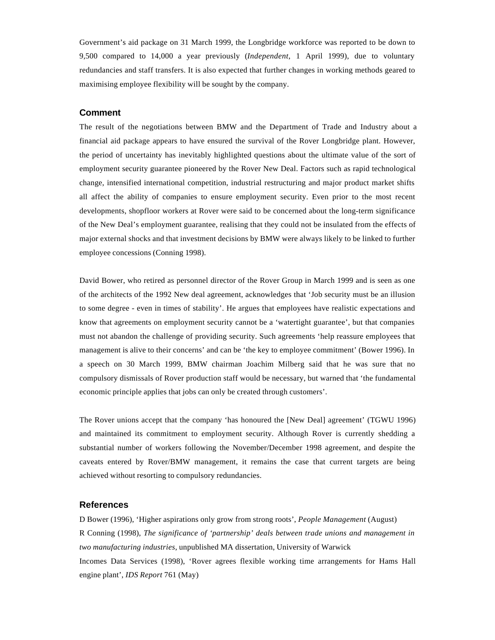Government's aid package on 31 March 1999, the Longbridge workforce was reported to be down to 9,500 compared to 14,000 a year previously (*Independent*, 1 April 1999), due to voluntary redundancies and staff transfers. It is also expected that further changes in working methods geared to maximising employee flexibility will be sought by the company.

#### **Comment**

The result of the negotiations between BMW and the Department of Trade and Industry about a financial aid package appears to have ensured the survival of the Rover Longbridge plant. However, the period of uncertainty has inevitably highlighted questions about the ultimate value of the sort of employment security guarantee pioneered by the Rover New Deal. Factors such as rapid technological change, intensified international competition, industrial restructuring and major product market shifts all affect the ability of companies to ensure employment security. Even prior to the most recent developments, shopfloor workers at Rover were said to be concerned about the long-term significance of the New Deal's employment guarantee, realising that they could not be insulated from the effects of major external shocks and that investment decisions by BMW were always likely to be linked to further employee concessions (Conning 1998).

David Bower, who retired as personnel director of the Rover Group in March 1999 and is seen as one of the architects of the 1992 New deal agreement, acknowledges that 'Job security must be an illusion to some degree - even in times of stability'. He argues that employees have realistic expectations and know that agreements on employment security cannot be a 'watertight guarantee', but that companies must not abandon the challenge of providing security. Such agreements 'help reassure employees that management is alive to their concerns' and can be 'the key to employee commitment' (Bower 1996). In a speech on 30 March 1999, BMW chairman Joachim Milberg said that he was sure that no compulsory dismissals of Rover production staff would be necessary, but warned that 'the fundamental economic principle applies that jobs can only be created through customers'.

The Rover unions accept that the company 'has honoured the [New Deal] agreement' (TGWU 1996) and maintained its commitment to employment security. Although Rover is currently shedding a substantial number of workers following the November/December 1998 agreement, and despite the caveats entered by Rover/BMW management, it remains the case that current targets are being achieved without resorting to compulsory redundancies.

#### **References**

D Bower (1996), 'Higher aspirations only grow from strong roots', *People Management* (August) R Conning (1998), *The significance of 'partnership' deals between trade unions and management in two manufacturing industries*, unpublished MA dissertation, University of Warwick Incomes Data Services (1998), 'Rover agrees flexible working time arrangements for Hams Hall engine plant', *IDS Report* 761 (May)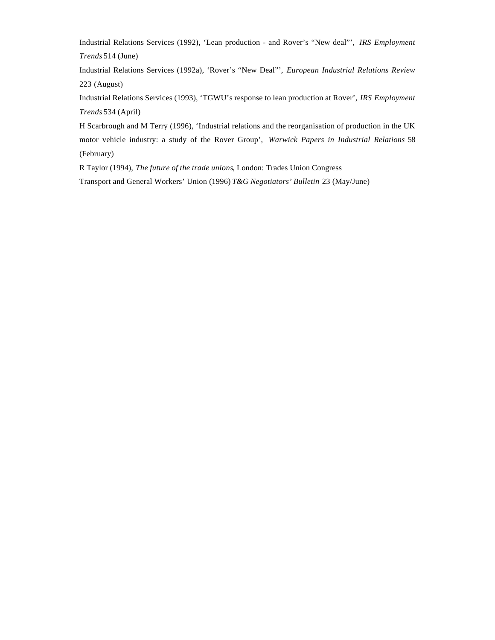Industrial Relations Services (1992), 'Lean production - and Rover's "New deal"', *IRS Employment Trends* 514 (June)

Industrial Relations Services (1992a), 'Rover's "New Deal"', *European Industrial Relations Review* 223 (August)

Industrial Relations Services (1993), 'TGWU's response to lean production at Rover', *IRS Employment Trends* 534 (April)

H Scarbrough and M Terry (1996), 'Industrial relations and the reorganisation of production in the UK motor vehicle industry: a study of the Rover Group', *Warwick Papers in Industrial Relations* 58 (February)

R Taylor (1994), *The future of the trade unions*, London: Trades Union Congress

Transport and General Workers' Union (1996) *T&G Negotiators' Bulletin* 23 (May/June)